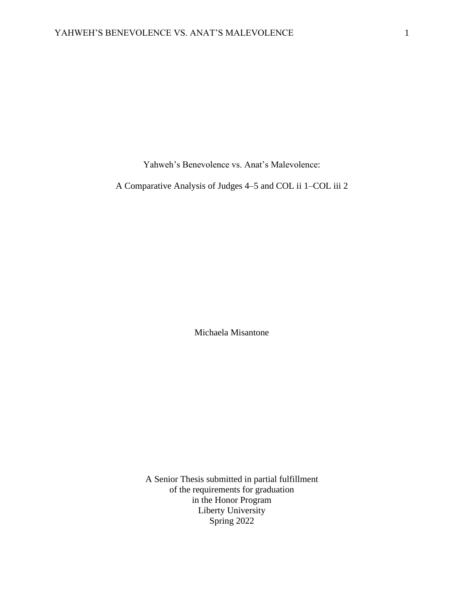Yahweh's Benevolence vs. Anat's Malevolence:

A Comparative Analysis of Judges 4–5 and COL ii 1–COL iii 2

Michaela Misantone

A Senior Thesis submitted in partial fulfillment of the requirements for graduation in the Honor Program Liberty University Spring 2022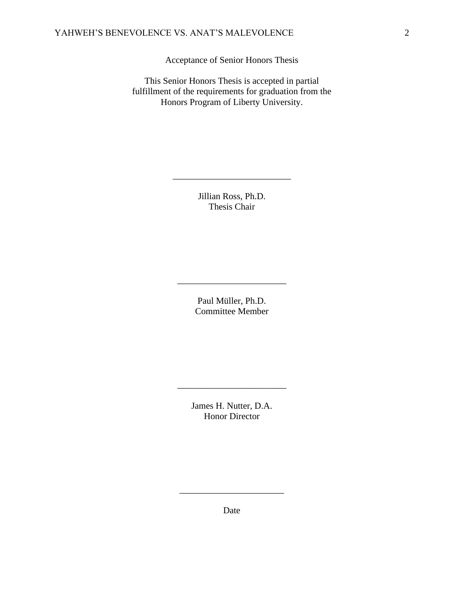Acceptance of Senior Honors Thesis

This Senior Honors Thesis is accepted in partial fulfillment of the requirements for graduation from the Honors Program of Liberty University.

> Jillian Ross, Ph.D. Thesis Chair

\_\_\_\_\_\_\_\_\_\_\_\_\_\_\_\_\_\_\_\_\_\_\_\_\_\_

Paul Müller, Ph.D. Committee Member

\_\_\_\_\_\_\_\_\_\_\_\_\_\_\_\_\_\_\_\_\_\_\_\_

James H. Nutter, D.A. Honor Director

\_\_\_\_\_\_\_\_\_\_\_\_\_\_\_\_\_\_\_\_\_\_\_\_

Date

\_\_\_\_\_\_\_\_\_\_\_\_\_\_\_\_\_\_\_\_\_\_\_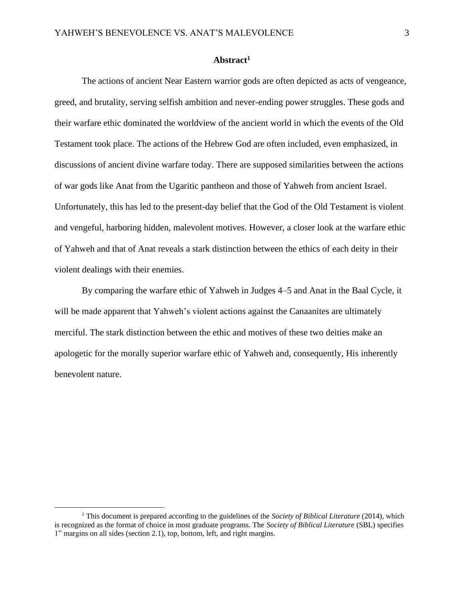# **Abstract<sup>1</sup>**

The actions of ancient Near Eastern warrior gods are often depicted as acts of vengeance, greed, and brutality, serving selfish ambition and never-ending power struggles. These gods and their warfare ethic dominated the worldview of the ancient world in which the events of the Old Testament took place. The actions of the Hebrew God are often included, even emphasized, in discussions of ancient divine warfare today. There are supposed similarities between the actions of war gods like Anat from the Ugaritic pantheon and those of Yahweh from ancient Israel. Unfortunately, this has led to the present-day belief that the God of the Old Testament is violent and vengeful, harboring hidden, malevolent motives. However, a closer look at the warfare ethic of Yahweh and that of Anat reveals a stark distinction between the ethics of each deity in their violent dealings with their enemies.

By comparing the warfare ethic of Yahweh in Judges 4–5 and Anat in the Baal Cycle, it will be made apparent that Yahweh's violent actions against the Canaanites are ultimately merciful. The stark distinction between the ethic and motives of these two deities make an apologetic for the morally superior warfare ethic of Yahweh and, consequently, His inherently benevolent nature.

<sup>1</sup> This document is prepared according to the guidelines of the *Society of Biblical Literature* (2014), which is recognized as the format of choice in most graduate programs. The *Society of Biblical Literature* (SBL) specifies 1" margins on all sides (section 2.1), top, bottom, left, and right margins.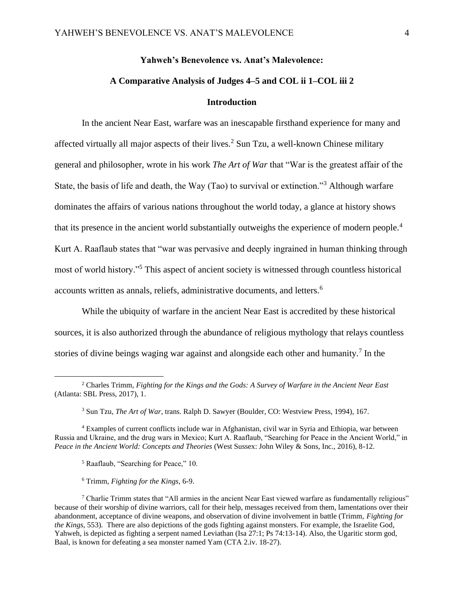# **Yahweh's Benevolence vs. Anat's Malevolence: A Comparative Analysis of Judges 4–5 and COL ii 1–COL iii 2 Introduction**

In the ancient Near East, warfare was an inescapable firsthand experience for many and affected virtually all major aspects of their lives.<sup>2</sup> Sun Tzu, a well-known Chinese military general and philosopher, wrote in his work *The Art of War* that "War is the greatest affair of the State, the basis of life and death, the Way (Tao) to survival or extinction."<sup>3</sup> Although warfare dominates the affairs of various nations throughout the world today, a glance at history shows that its presence in the ancient world substantially outweighs the experience of modern people.<sup>4</sup> Kurt A. Raaflaub states that "war was pervasive and deeply ingrained in human thinking through most of world history."<sup>5</sup> This aspect of ancient society is witnessed through countless historical accounts written as annals, reliefs, administrative documents, and letters.<sup>6</sup>

While the ubiquity of warfare in the ancient Near East is accredited by these historical sources, it is also authorized through the abundance of religious mythology that relays countless stories of divine beings waging war against and alongside each other and humanity.<sup>7</sup> In the

- <sup>5</sup> Raaflaub, "Searching for Peace," 10.
- <sup>6</sup> Trimm, *Fighting for the Kings*, 6-9.

<sup>2</sup> Charles Trimm, *Fighting for the Kings and the Gods: A Survey of Warfare in the Ancient Near East* (Atlanta: SBL Press, 2017), 1.

<sup>3</sup> Sun Tzu, *The Art of War*, trans. Ralph D. Sawyer (Boulder, CO: Westview Press, 1994), 167.

<sup>4</sup> Examples of current conflicts include war in Afghanistan, civil war in Syria and Ethiopia, war between Russia and Ukraine, and the drug wars in Mexico; Kurt A. Raaflaub, "Searching for Peace in the Ancient World," in *Peace in the Ancient World: Concepts and Theories* (West Sussex: John Wiley & Sons, Inc., 2016), 8-12.

 $7$  Charlie Trimm states that "All armies in the ancient Near East viewed warfare as fundamentally religious" because of their worship of divine warriors, call for their help, messages received from them, lamentations over their abandonment, acceptance of divine weapons, and observation of divine involvement in battle (Trimm, *Fighting for the Kings*, 553). There are also depictions of the gods fighting against monsters. For example, the Israelite God, Yahweh, is depicted as fighting a serpent named Leviathan (Isa 27:1; Ps 74:13-14). Also, the Ugaritic storm god, Baal, is known for defeating a sea monster named Yam (CTA 2.iv. 18-27).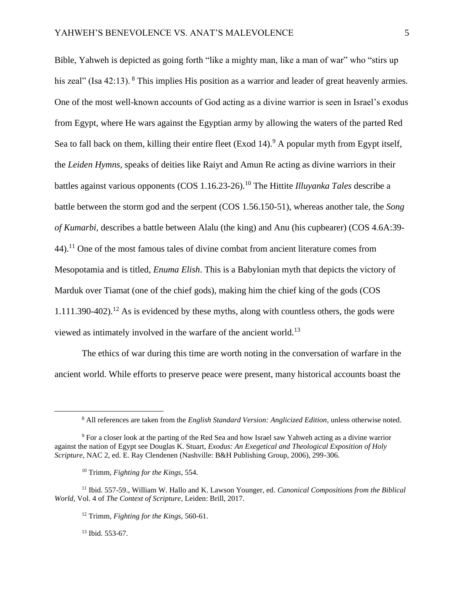Bible, Yahweh is depicted as going forth "like a mighty man, like a man of war" who "stirs up his zeal" (Isa 42:13). <sup>8</sup> This implies His position as a warrior and leader of great heavenly armies. One of the most well-known accounts of God acting as a divine warrior is seen in Israel's exodus from Egypt, where He wars against the Egyptian army by allowing the waters of the parted Red Sea to fall back on them, killing their entire fleet (Exod 14).<sup>9</sup> A popular myth from Egypt itself, the *Leiden Hymns*, speaks of deities like Raiyt and Amun Re acting as divine warriors in their battles against various opponents (COS 1.16.23-26). <sup>10</sup> The Hittite *Illuyanka Tales* describe a battle between the storm god and the serpent (COS 1.56.150-51), whereas another tale, the *Song of Kumarbi,* describes a battle between Alalu (the king) and Anu (his cupbearer) (COS 4.6A:39-  $44$ ).<sup>11</sup> One of the most famous tales of divine combat from ancient literature comes from Mesopotamia and is titled, *Enuma Elish*. This is a Babylonian myth that depicts the victory of Marduk over Tiamat (one of the chief gods), making him the chief king of the gods (COS  $1.111.390-402$ ).<sup>12</sup> As is evidenced by these myths, along with countless others, the gods were viewed as intimately involved in the warfare of the ancient world.<sup>13</sup>

The ethics of war during this time are worth noting in the conversation of warfare in the ancient world. While efforts to preserve peace were present, many historical accounts boast the

 $13$  Ibid. 553-67.

<sup>8</sup> All references are taken from the *English Standard Version: Anglicized Edition*, unless otherwise noted.

<sup>9</sup> For a closer look at the parting of the Red Sea and how Israel saw Yahweh acting as a divine warrior against the nation of Egypt see Douglas K. Stuart, *Exodus: An Exegetical and Theological Exposition of Holy Scripture*, NAC 2, ed. E. Ray Clendenen (Nashville: B&H Publishing Group, 2006), 299-306.

<sup>10</sup> Trimm, *Fighting for the Kings*, 554.

<sup>11</sup> Ibid. 557-59., William W. Hallo and K. Lawson Younger, ed. *Canonical Compositions from the Biblical World,* Vol. 4 of *The Context of Scripture*, Leiden: Brill, 2017.

<sup>12</sup> Trimm, *Fighting for the Kings,* 560-61.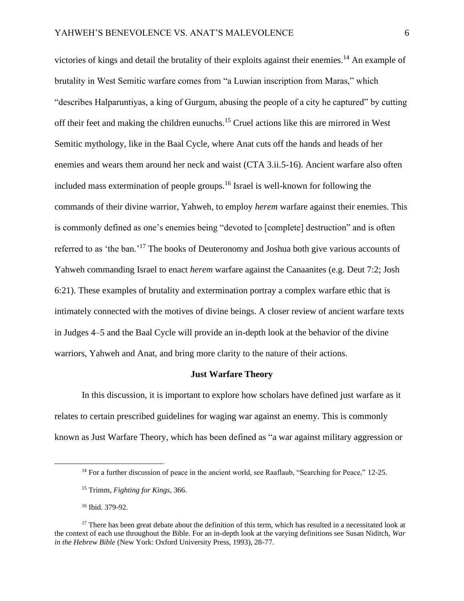victories of kings and detail the brutality of their exploits against their enemies.<sup>14</sup> An example of brutality in West Semitic warfare comes from "a Luwian inscription from Maras," which "describes Halparuntiyas, a king of Gurgum, abusing the people of a city he captured" by cutting off their feet and making the children eunuchs.<sup>15</sup> Cruel actions like this are mirrored in West Semitic mythology, like in the Baal Cycle, where Anat cuts off the hands and heads of her enemies and wears them around her neck and waist (CTA 3.ii.5-16). Ancient warfare also often included mass extermination of people groups.<sup>16</sup> Israel is well-known for following the commands of their divine warrior, Yahweh, to employ *herem* warfare against their enemies. This is commonly defined as one's enemies being "devoted to [complete] destruction" and is often referred to as 'the ban.'<sup>17</sup> The books of Deuteronomy and Joshua both give various accounts of Yahweh commanding Israel to enact *herem* warfare against the Canaanites (e.g. Deut 7:2; Josh 6:21). These examples of brutality and extermination portray a complex warfare ethic that is intimately connected with the motives of divine beings. A closer review of ancient warfare texts in Judges 4–5 and the Baal Cycle will provide an in-depth look at the behavior of the divine warriors, Yahweh and Anat, and bring more clarity to the nature of their actions.

#### **Just Warfare Theory**

In this discussion, it is important to explore how scholars have defined just warfare as it relates to certain prescribed guidelines for waging war against an enemy. This is commonly known as Just Warfare Theory, which has been defined as "a war against military aggression or

<sup>&</sup>lt;sup>14</sup> For a further discussion of peace in the ancient world, see Raaflaub, "Searching for Peace," 12-25.

<sup>15</sup> Trimm, *Fighting for Kings*, 366.

<sup>16</sup> Ibid. 379-92.

<sup>&</sup>lt;sup>17</sup> There has been great debate about the definition of this term, which has resulted in a necessitated look at the context of each use throughout the Bible. For an in-depth look at the varying definitions see Susan Niditch, *War in the Hebrew Bible* (New York: Oxford University Press, 1993), 28-77.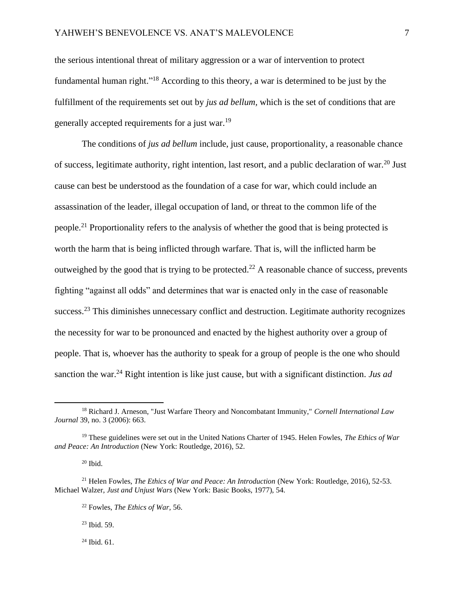the serious intentional threat of military aggression or a war of intervention to protect fundamental human right."<sup>18</sup> According to this theory, a war is determined to be just by the fulfillment of the requirements set out by *jus ad bellum*, which is the set of conditions that are generally accepted requirements for a just war.<sup>19</sup>

The conditions of *jus ad bellum* include, just cause, proportionality, a reasonable chance of success, legitimate authority, right intention, last resort, and a public declaration of war.<sup>20</sup> Just cause can best be understood as the foundation of a case for war, which could include an assassination of the leader, illegal occupation of land, or threat to the common life of the people.<sup>21</sup> Proportionality refers to the analysis of whether the good that is being protected is worth the harm that is being inflicted through warfare. That is, will the inflicted harm be outweighed by the good that is trying to be protected.<sup>22</sup> A reasonable chance of success, prevents fighting "against all odds" and determines that war is enacted only in the case of reasonable success.<sup>23</sup> This diminishes unnecessary conflict and destruction. Legitimate authority recognizes the necessity for war to be pronounced and enacted by the highest authority over a group of people. That is, whoever has the authority to speak for a group of people is the one who should sanction the war.<sup>24</sup> Right intention is like just cause, but with a significant distinction. *Jus ad* 

 $20$  Ibid.

<sup>23</sup> Ibid. 59.

 $24$  Ibid. 61.

<sup>18</sup> Richard J. Arneson, "Just Warfare Theory and Noncombatant Immunity," *Cornell International Law Journal* 39, no. 3 (2006): 663.

<sup>19</sup> These guidelines were set out in the United Nations Charter of 1945. Helen Fowles, *The Ethics of War and Peace: An Introduction* (New York: Routledge, 2016), 52.

<sup>21</sup> Helen Fowles, *The Ethics of War and Peace: An Introduction* (New York: Routledge, 2016), 52-53. Michael Walzer, *Just and Unjust Wars* (New York: Basic Books, 1977), 54.

<sup>22</sup> Fowles, *The Ethics of War,* 56.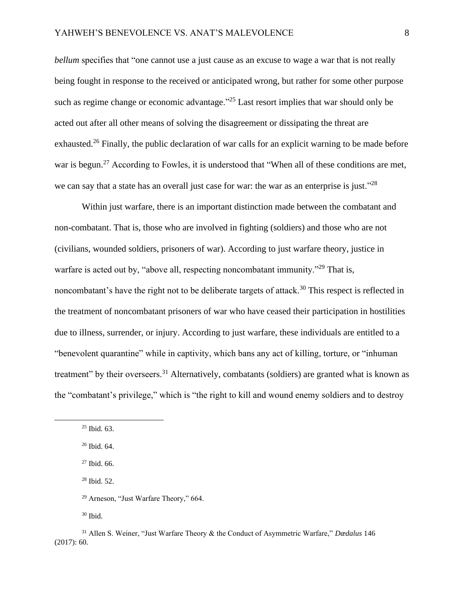*bellum* specifies that "one cannot use a just cause as an excuse to wage a war that is not really being fought in response to the received or anticipated wrong, but rather for some other purpose such as regime change or economic advantage."<sup>25</sup> Last resort implies that war should only be acted out after all other means of solving the disagreement or dissipating the threat are exhausted.<sup>26</sup> Finally, the public declaration of war calls for an explicit warning to be made before war is begun.<sup>27</sup> According to Fowles, it is understood that "When all of these conditions are met, we can say that a state has an overall just case for war: the war as an enterprise is just."<sup>28</sup>

Within just warfare, there is an important distinction made between the combatant and non-combatant. That is, those who are involved in fighting (soldiers) and those who are not (civilians, wounded soldiers, prisoners of war). According to just warfare theory, justice in warfare is acted out by, "above all, respecting noncombatant immunity."<sup>29</sup> That is, noncombatant's have the right not to be deliberate targets of attack.<sup>30</sup> This respect is reflected in the treatment of noncombatant prisoners of war who have ceased their participation in hostilities due to illness, surrender, or injury. According to just warfare, these individuals are entitled to a "benevolent quarantine" while in captivity, which bans any act of killing, torture, or "inhuman treatment" by their overseers.<sup>31</sup> Alternatively, combatants (soldiers) are granted what is known as the "combatant's privilege," which is "the right to kill and wound enemy soldiers and to destroy

 $30$  Ibid.

 $25$  Ibid. 63.

<sup>26</sup> Ibid. 64.

 $27$  Ibid. 66.

<sup>28</sup> Ibid. 52.

<sup>29</sup> Arneson, "Just Warfare Theory," 664.

<sup>31</sup> Allen S. Weiner, "Just Warfare Theory & the Conduct of Asymmetric Warfare," *Dædalus* 146 (2017): 60.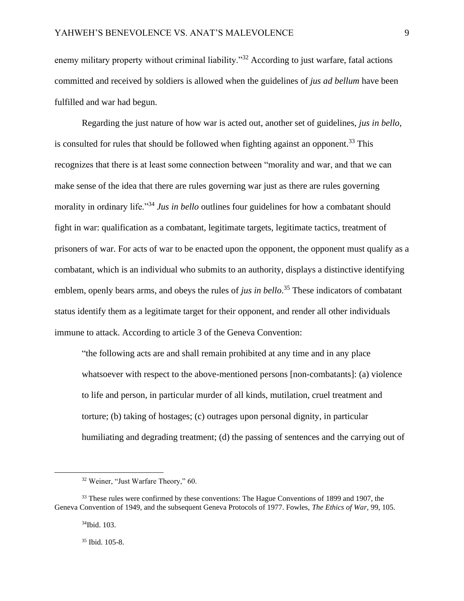enemy military property without criminal liability."<sup>32</sup> According to just warfare, fatal actions committed and received by soldiers is allowed when the guidelines of *jus ad bellum* have been fulfilled and war had begun.

Regarding the just nature of how war is acted out, another set of guidelines, *jus in bello*, is consulted for rules that should be followed when fighting against an opponent.<sup>33</sup> This recognizes that there is at least some connection between "morality and war, and that we can make sense of the idea that there are rules governing war just as there are rules governing morality in ordinary life."<sup>34</sup> *Jus in bello* outlines four guidelines for how a combatant should fight in war: qualification as a combatant, legitimate targets, legitimate tactics, treatment of prisoners of war. For acts of war to be enacted upon the opponent, the opponent must qualify as a combatant, which is an individual who submits to an authority, displays a distinctive identifying emblem, openly bears arms, and obeys the rules of *jus in bello*. <sup>35</sup> These indicators of combatant status identify them as a legitimate target for their opponent, and render all other individuals immune to attack. According to article 3 of the Geneva Convention:

"the following acts are and shall remain prohibited at any time and in any place whatsoever with respect to the above-mentioned persons [non-combatants]: (a) violence to life and person, in particular murder of all kinds, mutilation, cruel treatment and torture; (b) taking of hostages; (c) outrages upon personal dignity, in particular humiliating and degrading treatment; (d) the passing of sentences and the carrying out of

<sup>32</sup> Weiner, "Just Warfare Theory," 60.

<sup>&</sup>lt;sup>33</sup> These rules were confirmed by these conventions: The Hague Conventions of 1899 and 1907, the Geneva Convention of 1949, and the subsequent Geneva Protocols of 1977. Fowles, *The Ethics of War,* 99, 105.

<sup>34</sup>Ibid. 103.

<sup>35</sup> Ibid. 105-8.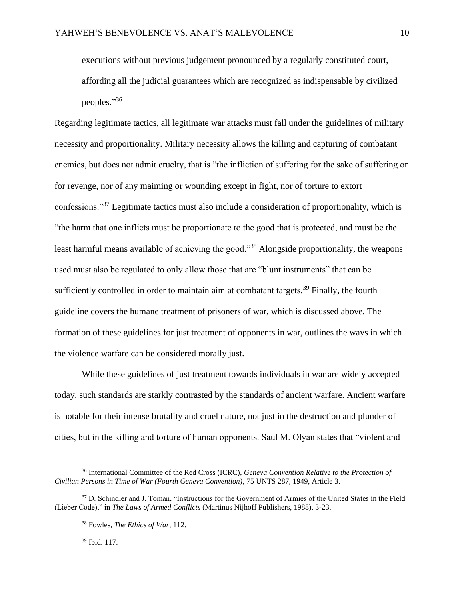executions without previous judgement pronounced by a regularly constituted court, affording all the judicial guarantees which are recognized as indispensable by civilized peoples." 36

Regarding legitimate tactics, all legitimate war attacks must fall under the guidelines of military necessity and proportionality. Military necessity allows the killing and capturing of combatant enemies, but does not admit cruelty, that is "the infliction of suffering for the sake of suffering or for revenge, nor of any maiming or wounding except in fight, nor of torture to extort confessions."<sup>37</sup> Legitimate tactics must also include a consideration of proportionality, which is "the harm that one inflicts must be proportionate to the good that is protected, and must be the least harmful means available of achieving the good."<sup>38</sup> Alongside proportionality, the weapons used must also be regulated to only allow those that are "blunt instruments" that can be sufficiently controlled in order to maintain aim at combatant targets.<sup>39</sup> Finally, the fourth guideline covers the humane treatment of prisoners of war, which is discussed above. The formation of these guidelines for just treatment of opponents in war, outlines the ways in which the violence warfare can be considered morally just.

While these guidelines of just treatment towards individuals in war are widely accepted today, such standards are starkly contrasted by the standards of ancient warfare. Ancient warfare is notable for their intense brutality and cruel nature, not just in the destruction and plunder of cities, but in the killing and torture of human opponents. Saul M. Olyan states that "violent and

<sup>39</sup> Ibid. 117.

<sup>36</sup> International Committee of the Red Cross (ICRC), *Geneva Convention Relative to the Protection of Civilian Persons in Time of War (Fourth Geneva Convention)*, 75 UNTS 287, 1949, Article 3.

<sup>&</sup>lt;sup>37</sup> D. Schindler and J. Toman, "Instructions for the Government of Armies of the United States in the Field (Lieber Code)," in *The Laws of Armed Conflicts* (Martinus Nijhoff Publishers, 1988), 3-23.

<sup>38</sup> Fowles, *The Ethics of War*, 112.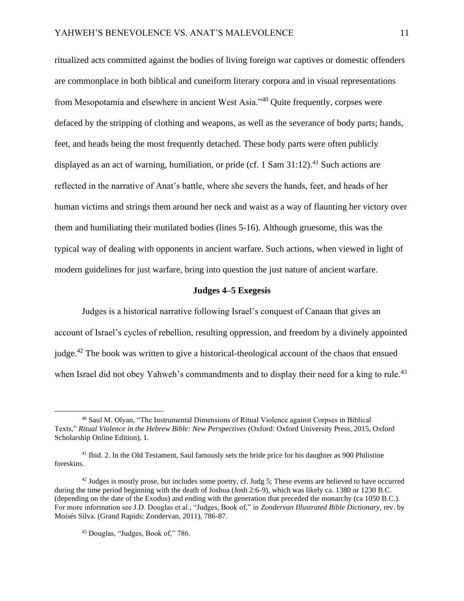ritualized acts committed against the bodies of living foreign war captives or domestic offenders are commonplace in both biblical and cuneiform literary corpora and in visual representations from Mesopotamia and elsewhere in ancient West Asia."<sup>40</sup> Quite frequently, corpses were defaced by the stripping of clothing and weapons, as well as the severance of body parts; hands, feet, and heads being the most frequently detached. These body parts were often publicly displayed as an act of warning, humiliation, or pride (cf. 1 Sam  $31:12$ ).<sup>41</sup> Such actions are reflected in the narrative of Anat's battle, where she severs the hands, feet, and heads of her human victims and strings them around her neck and waist as a way of flaunting her victory over them and humiliating their mutilated bodies (lines 5-16). Although gruesome, this was the typical way of dealing with opponents in ancient warfare. Such actions, when viewed in light of modern guidelines for just warfare, bring into question the just nature of ancient warfare.

#### **Judges 4–5 Exegesis**

Judges is a historical narrative following Israel's conquest of Canaan that gives an account of Israel's cycles of rebellion, resulting oppression, and freedom by a divinely appointed judge.<sup>42</sup> The book was written to give a historical-theological account of the chaos that ensued when Israel did not obey Yahweh's commandments and to display their need for a king to rule.<sup>43</sup>

<sup>40</sup> Saul M. Olyan, "The Instrumental Dimensions of Ritual Violence against Corpses in Biblical Texts," *Ritual Violence in the Hebrew Bible: New Perspectives* (Oxford: Oxford University Press, 2015, Oxford Scholarship Online Edition), 1.

<sup>41</sup> Ibid. 2. In the Old Testament, Saul famously sets the bride price for his daughter as 900 Philistine foreskins.

 $42$  Judges is mostly prose, but includes some poetry, cf. Judg 5; These events are believed to have occurred during the time period beginning with the death of Joshua (Josh 2:6-9), which was likely ca. 1380 or 1230 B.C. (depending on the date of the Exodus) and ending with the generation that preceded the monarchy (ca 1050 B.C.). For more information see J.D. Douglas et al., "Judges, Book of," in *Zondervan Illustrated Bible Dictionary*, rev. by Moisés Silva. (Grand Rapids: Zondervan, 2011), 786-87.

<sup>43</sup> Douglas, "Judges, Book of," 786.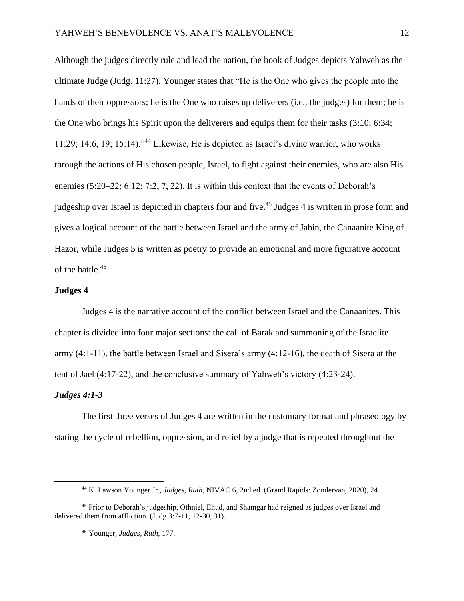Although the judges directly rule and lead the nation, the book of Judges depicts Yahweh as the ultimate Judge (Judg. 11:27). Younger states that "He is the One who gives the people into the hands of their oppressors; he is the One who raises up deliverers (i.e., the judges) for them; he is the One who brings his Spirit upon the deliverers and equips them for their tasks (3:10; 6:34; 11:29; 14:6, 19; 15:14)."<sup>44</sup> Likewise, He is depicted as Israel's divine warrior, who works through the actions of His chosen people, Israel, to fight against their enemies, who are also His enemies (5:20–22; 6:12; 7:2, 7, 22). It is within this context that the events of Deborah's judgeship over Israel is depicted in chapters four and five.<sup>45</sup> Judges 4 is written in prose form and gives a logical account of the battle between Israel and the army of Jabin, the Canaanite King of Hazor, while Judges 5 is written as poetry to provide an emotional and more figurative account of the battle.<sup>46</sup>

# **Judges 4**

Judges 4 is the narrative account of the conflict between Israel and the Canaanites. This chapter is divided into four major sections: the call of Barak and summoning of the Israelite army (4:1-11), the battle between Israel and Sisera's army (4:12-16), the death of Sisera at the tent of Jael (4:17-22), and the conclusive summary of Yahweh's victory (4:23-24).

#### *Judges 4:1-3*

The first three verses of Judges 4 are written in the customary format and phraseology by stating the cycle of rebellion, oppression, and relief by a judge that is repeated throughout the

<sup>44</sup> K. Lawson Younger Jr., *Judges, Ruth,* NIVAC 6, 2nd ed. (Grand Rapids: Zondervan, 2020), 24.

<sup>45</sup> Prior to Deborah's judgeship, Othniel, Ehud, and Shamgar had reigned as judges over Israel and delivered them from affliction. (Judg 3:7-11, 12-30, 31).

<sup>46</sup> Younger, *Judges, Ruth,* 177.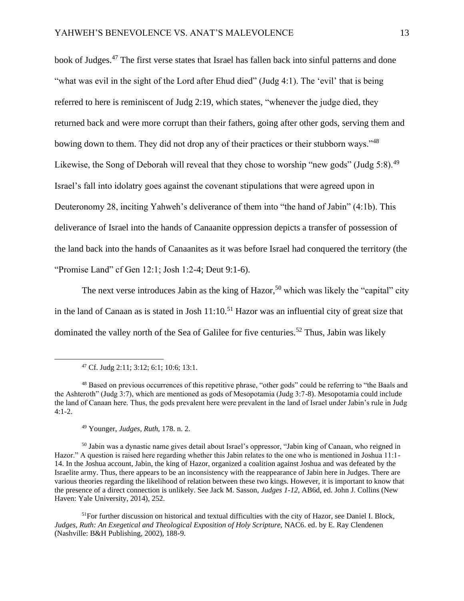book of Judges.<sup>47</sup> The first verse states that Israel has fallen back into sinful patterns and done "what was evil in the sight of the Lord after Ehud died" (Judg 4:1). The 'evil' that is being referred to here is reminiscent of Judg 2:19, which states, "whenever the judge died, they returned back and were more corrupt than their fathers, going after other gods, serving them and bowing down to them. They did not drop any of their practices or their stubborn ways."<sup>48</sup> Likewise, the Song of Deborah will reveal that they chose to worship "new gods" (Judg 5:8).<sup>49</sup> Israel's fall into idolatry goes against the covenant stipulations that were agreed upon in Deuteronomy 28, inciting Yahweh's deliverance of them into "the hand of Jabin" (4:1b). This deliverance of Israel into the hands of Canaanite oppression depicts a transfer of possession of the land back into the hands of Canaanites as it was before Israel had conquered the territory (the "Promise Land" cf Gen 12:1; Josh 1:2-4; Deut 9:1-6).

The next verse introduces Jabin as the king of Hazor,<sup>50</sup> which was likely the "capital" city in the land of Canaan as is stated in Josh  $11:10<sup>51</sup>$  Hazor was an influential city of great size that dominated the valley north of the Sea of Galilee for five centuries.<sup>52</sup> Thus, Jabin was likely

<sup>49</sup> Younger, *Judges, Ruth,* 178. n. 2.

<sup>50</sup> Jabin was a dynastic name gives detail about Israel's oppressor, "Jabin king of Canaan, who reigned in Hazor." A question is raised here regarding whether this Jabin relates to the one who is mentioned in Joshua 11:1- 14. In the Joshua account, Jabin, the king of Hazor, organized a coalition against Joshua and was defeated by the Israelite army. Thus, there appears to be an inconsistency with the reappearance of Jabin here in Judges. There are various theories regarding the likelihood of relation between these two kings. However, it is important to know that the presence of a direct connection is unlikely. See Jack M. Sasson, *Judges 1-12*, AB6d*,* ed. John J. Collins (New Haven: Yale University, 2014), 252.

 $<sup>51</sup>$ For further discussion on historical and textual difficulties with the city of Hazor, see Daniel I. Block,</sup> *Judges, Ruth: An Exegetical and Theological Exposition of Holy Scripture,* NAC6. ed. by E. Ray Clendenen (Nashville: B&H Publishing, 2002), 188-9.

<sup>47</sup> Cf. Judg 2:11; 3:12; 6:1; 10:6; 13:1.

<sup>48</sup> Based on previous occurrences of this repetitive phrase, "other gods" could be referring to "the Baals and the Ashteroth" (Judg 3:7), which are mentioned as gods of Mesopotamia (Judg 3:7-8). Mesopotamia could include the land of Canaan here. Thus, the gods prevalent here were prevalent in the land of Israel under Jabin's rule in Judg 4:1-2.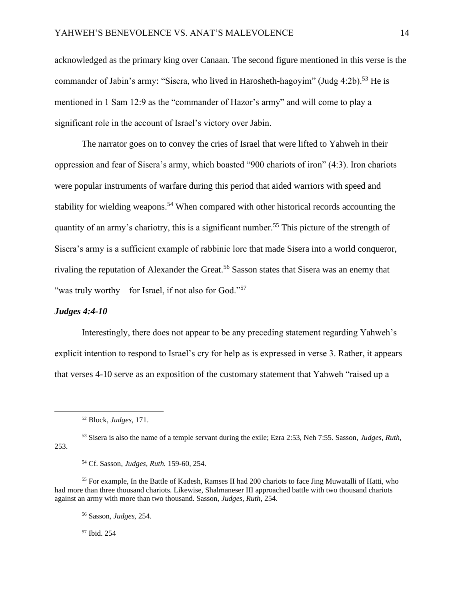acknowledged as the primary king over Canaan. The second figure mentioned in this verse is the commander of Jabin's army: "Sisera, who lived in Harosheth-hagoyim" (Judg  $4:2b$ ).<sup>53</sup> He is mentioned in 1 Sam 12:9 as the "commander of Hazor's army" and will come to play a significant role in the account of Israel's victory over Jabin.

The narrator goes on to convey the cries of Israel that were lifted to Yahweh in their oppression and fear of Sisera's army, which boasted "900 chariots of iron" (4:3). Iron chariots were popular instruments of warfare during this period that aided warriors with speed and stability for wielding weapons.<sup>54</sup> When compared with other historical records accounting the quantity of an army's chariotry, this is a significant number.<sup>55</sup> This picture of the strength of Sisera's army is a sufficient example of rabbinic lore that made Sisera into a world conqueror, rivaling the reputation of Alexander the Great.<sup>56</sup> Sasson states that Sisera was an enemy that "was truly worthy – for Israel, if not also for God."<sup>57</sup>

#### *Judges 4:4-10*

Interestingly, there does not appear to be any preceding statement regarding Yahweh's explicit intention to respond to Israel's cry for help as is expressed in verse 3. Rather, it appears that verses 4-10 serve as an exposition of the customary statement that Yahweh "raised up a

<sup>57</sup> Ibid. 254

<sup>52</sup> Block, *Judges,* 171.

<sup>53</sup> Sisera is also the name of a temple servant during the exile; Ezra 2:53, Neh 7:55. Sasson, *Judges, Ruth,*  253.

<sup>54</sup> Cf. Sasson, *Judges, Ruth.* 159-60, 254.

<sup>55</sup> For example, In the Battle of Kadesh, Ramses II had 200 chariots to face Jing Muwatalli of Hatti, who had more than three thousand chariots. Likewise, Shalmaneser III approached battle with two thousand chariots against an army with more than two thousand. Sasson, *Judges, Ruth,* 254.

<sup>56</sup> Sasson, *Judges,* 254.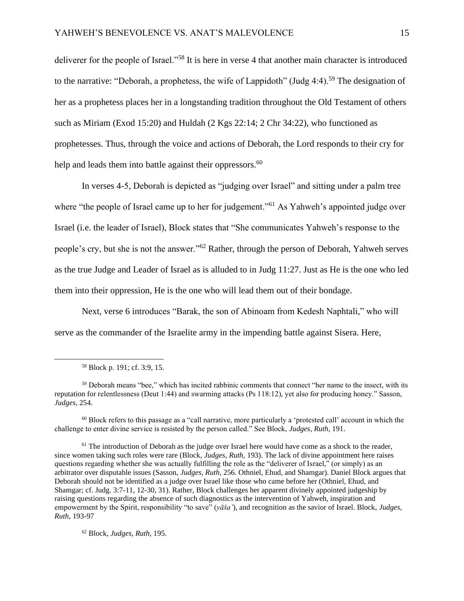deliverer for the people of Israel."<sup>58</sup> It is here in verse 4 that another main character is introduced to the narrative: "Deborah, a prophetess, the wife of Lappidoth" (Judg  $4:4$ ).<sup>59</sup> The designation of her as a prophetess places her in a longstanding tradition throughout the Old Testament of others such as Miriam (Exod 15:20) and Huldah (2 Kgs 22:14; 2 Chr 34:22), who functioned as prophetesses. Thus, through the voice and actions of Deborah, the Lord responds to their cry for help and leads them into battle against their oppressors.<sup>60</sup>

In verses 4-5, Deborah is depicted as "judging over Israel" and sitting under a palm tree where "the people of Israel came up to her for judgement."<sup>61</sup> As Yahweh's appointed judge over Israel (i.e. the leader of Israel), Block states that "She communicates Yahweh's response to the people's cry, but she is not the answer."<sup>62</sup> Rather, through the person of Deborah, Yahweh serves as the true Judge and Leader of Israel as is alluded to in Judg 11:27. Just as He is the one who led them into their oppression, He is the one who will lead them out of their bondage.

Next, verse 6 introduces "Barak, the son of Abinoam from Kedesh Naphtali," who will serve as the commander of the Israelite army in the impending battle against Sisera. Here,

 $60$  Block refers to this passage as a "call narrative, more particularly a 'protested call' account in which the challenge to enter divine service is resisted by the person called." See Block, *Judges, Ruth,* 191.

 $<sup>61</sup>$  The introduction of Deborah as the judge over Israel here would have come as a shock to the reader,</sup> since women taking such roles were rare (Block, *Judges, Ruth,* 193). The lack of divine appointment here raises questions regarding whether she was actually fulfilling the role as the "deliverer of Israel," (or simply) as an arbitrator over disputable issues (Sasson, *Judges, Ruth,* 256. Othniel, Ehud, and Shamgar). Daniel Block argues that Deborah should not be identified as a judge over Israel like those who came before her (Othniel, Ehud, and Shamgar; cf. Judg. 3:7-11, 12-30, 31). Rather, Block challenges her apparent divinely appointed judgeship by raising questions regarding the absence of such diagnostics as the intervention of Yahweh, inspiration and empowerment by the Spirit, responsibility "to save" (*yāša'*), and recognition as the savior of Israel. Block, *Judges, Ruth*, 193-97

<sup>62</sup> Block, *Judges, Ruth,* 195.

<sup>58</sup> Block p. 191; cf. 3:9, 15.

<sup>59</sup> Deborah means "bee," which has incited rabbinic comments that connect "her name to the insect, with its reputation for relentlessness (Deut 1:44) and swarming attacks (Ps 118:12), yet also for producing honey." Sasson, *Judges,* 254.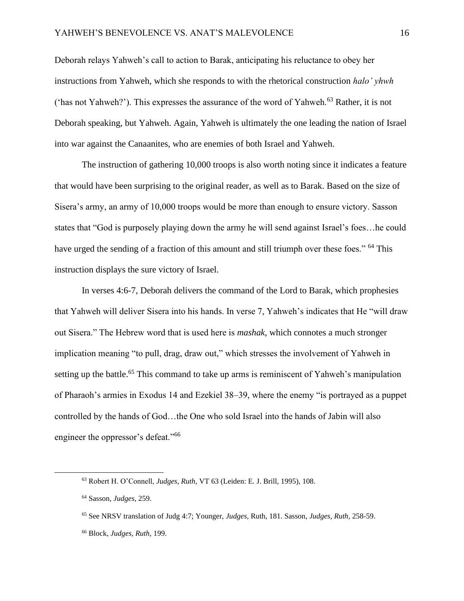Deborah relays Yahweh's call to action to Barak, anticipating his reluctance to obey her instructions from Yahweh, which she responds to with the rhetorical construction *halo' yhwh* ('has not Yahweh?'). This expresses the assurance of the word of Yahweh.<sup>63</sup> Rather, it is not Deborah speaking, but Yahweh. Again, Yahweh is ultimately the one leading the nation of Israel into war against the Canaanites, who are enemies of both Israel and Yahweh.

The instruction of gathering 10,000 troops is also worth noting since it indicates a feature that would have been surprising to the original reader, as well as to Barak. Based on the size of Sisera's army, an army of 10,000 troops would be more than enough to ensure victory. Sasson states that "God is purposely playing down the army he will send against Israel's foes…he could have urged the sending of a fraction of this amount and still triumph over these foes." <sup>64</sup> This instruction displays the sure victory of Israel.

In verses 4:6-7, Deborah delivers the command of the Lord to Barak, which prophesies that Yahweh will deliver Sisera into his hands. In verse 7, Yahweh's indicates that He "will draw out Sisera." The Hebrew word that is used here is *mashak*, which connotes a much stronger implication meaning "to pull, drag, draw out," which stresses the involvement of Yahweh in setting up the battle.<sup>65</sup> This command to take up arms is reminiscent of Yahweh's manipulation of Pharaoh's armies in Exodus 14 and Ezekiel 38–39, where the enemy "is portrayed as a puppet controlled by the hands of God…the One who sold Israel into the hands of Jabin will also engineer the oppressor's defeat."<sup>66</sup>

<sup>63</sup> Robert H. O'Connell, *Judges, Ruth,* VT 63 (Leiden: E. J. Brill, 1995), 108.

<sup>64</sup> Sasson, *Judges,* 259.

<sup>65</sup> See NRSV translation of Judg 4:7; Younger, *Judges,* Ruth, 181. Sasson, *Judges, Ruth,* 258-59.

<sup>66</sup> Block, *Judges, Ruth,* 199.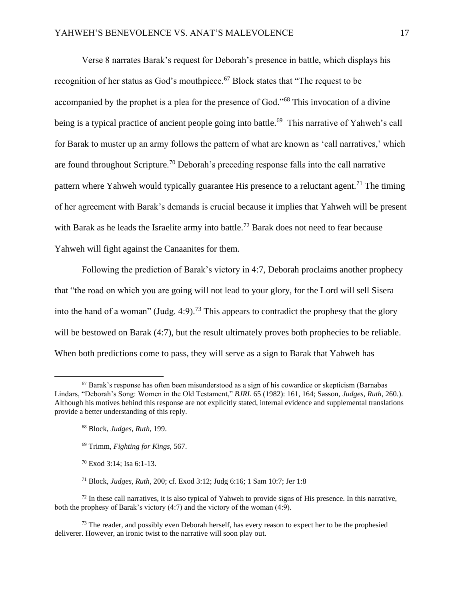Verse 8 narrates Barak's request for Deborah's presence in battle, which displays his recognition of her status as God's mouthpiece.<sup>67</sup> Block states that "The request to be accompanied by the prophet is a plea for the presence of God."<sup>68</sup> This invocation of a divine being is a typical practice of ancient people going into battle.<sup>69</sup> This narrative of Yahweh's call for Barak to muster up an army follows the pattern of what are known as 'call narratives,' which are found throughout Scripture.<sup>70</sup> Deborah's preceding response falls into the call narrative pattern where Yahweh would typically guarantee His presence to a reluctant agent.<sup>71</sup> The timing of her agreement with Barak's demands is crucial because it implies that Yahweh will be present with Barak as he leads the Israelite army into battle.<sup>72</sup> Barak does not need to fear because Yahweh will fight against the Canaanites for them.

Following the prediction of Barak's victory in 4:7, Deborah proclaims another prophecy that "the road on which you are going will not lead to your glory, for the Lord will sell Sisera into the hand of a woman" (Judg. 4:9).<sup>73</sup> This appears to contradict the prophesy that the glory will be bestowed on Barak (4:7), but the result ultimately proves both prophecies to be reliable. When both predictions come to pass, they will serve as a sign to Barak that Yahweh has

- <sup>69</sup> Trimm, *Fighting for Kings,* 567.
- <sup>70</sup> Exod 3:14; Isa 6:1-13.

<sup>72</sup> In these call narratives, it is also typical of Yahweh to provide signs of His presence. In this narrative, both the prophesy of Barak's victory (4:7) and the victory of the woman (4:9).

 $73$  The reader, and possibly even Deborah herself, has every reason to expect her to be the prophesied deliverer. However, an ironic twist to the narrative will soon play out.

 $67$  Barak's response has often been misunderstood as a sign of his cowardice or skepticism (Barnabas) Lindars, "Deborah's Song: Women in the Old Testament," *BJRL* 65 (1982): 161, 164; Sasson, *Judges, Ruth*, 260.). Although his motives behind this response are not explicitly stated, internal evidence and supplemental translations provide a better understanding of this reply.

<sup>68</sup> Block, *Judges, Ruth*, 199.

<sup>71</sup> Block, *Judges, Ruth*, 200; cf. Exod 3:12; Judg 6:16; 1 Sam 10:7; Jer 1:8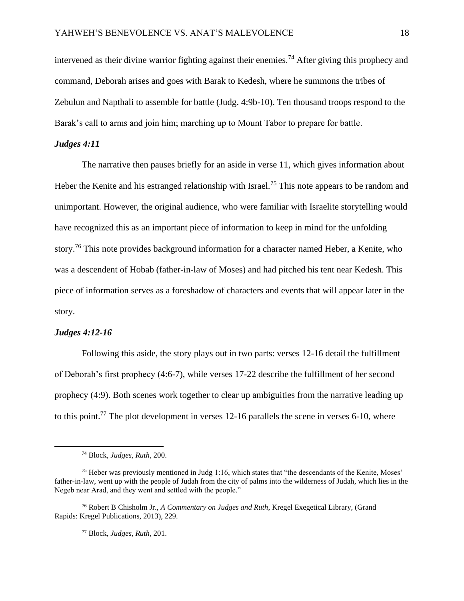intervened as their divine warrior fighting against their enemies.<sup>74</sup> After giving this prophecy and command, Deborah arises and goes with Barak to Kedesh, where he summons the tribes of Zebulun and Napthali to assemble for battle (Judg. 4:9b-10). Ten thousand troops respond to the Barak's call to arms and join him; marching up to Mount Tabor to prepare for battle.

# *Judges 4:11*

The narrative then pauses briefly for an aside in verse 11, which gives information about Heber the Kenite and his estranged relationship with Israel.<sup>75</sup> This note appears to be random and unimportant. However, the original audience, who were familiar with Israelite storytelling would have recognized this as an important piece of information to keep in mind for the unfolding story.<sup>76</sup> This note provides background information for a character named Heber, a Kenite, who was a descendent of Hobab (father-in-law of Moses) and had pitched his tent near Kedesh. This piece of information serves as a foreshadow of characters and events that will appear later in the story.

# *Judges 4:12-16*

Following this aside, the story plays out in two parts: verses 12-16 detail the fulfillment of Deborah's first prophecy (4:6-7), while verses 17-22 describe the fulfillment of her second prophecy (4:9). Both scenes work together to clear up ambiguities from the narrative leading up to this point.<sup>77</sup> The plot development in verses 12-16 parallels the scene in verses 6-10, where

<sup>74</sup> Block, *Judges, Ruth*, 200.

<sup>75</sup> Heber was previously mentioned in Judg 1:16, which states that "the descendants of the Kenite, Moses' father-in-law, went up with the people of Judah from the city of palms into the wilderness of Judah, which lies in the Negeb near Arad, and they went and settled with the people."

<sup>76</sup> Robert B Chisholm Jr., *A Commentary on Judges and Ruth*, Kregel Exegetical Library, (Grand Rapids: Kregel Publications, 2013), 229.

<sup>77</sup> Block, *Judges, Ruth*, 201.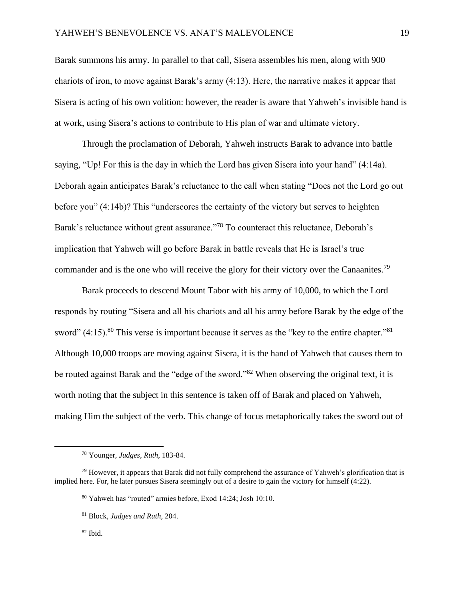Barak summons his army. In parallel to that call, Sisera assembles his men, along with 900 chariots of iron, to move against Barak's army (4:13). Here, the narrative makes it appear that Sisera is acting of his own volition: however, the reader is aware that Yahweh's invisible hand is at work, using Sisera's actions to contribute to His plan of war and ultimate victory.

Through the proclamation of Deborah, Yahweh instructs Barak to advance into battle saying, "Up! For this is the day in which the Lord has given Sisera into your hand" (4:14a). Deborah again anticipates Barak's reluctance to the call when stating "Does not the Lord go out before you" (4:14b)? This "underscores the certainty of the victory but serves to heighten Barak's reluctance without great assurance."<sup>78</sup> To counteract this reluctance, Deborah's implication that Yahweh will go before Barak in battle reveals that He is Israel's true commander and is the one who will receive the glory for their victory over the Canaanites.<sup>79</sup>

Barak proceeds to descend Mount Tabor with his army of 10,000, to which the Lord responds by routing "Sisera and all his chariots and all his army before Barak by the edge of the sword"  $(4:15)$ .<sup>80</sup> This verse is important because it serves as the "key to the entire chapter."<sup>81</sup> Although 10,000 troops are moving against Sisera, it is the hand of Yahweh that causes them to be routed against Barak and the "edge of the sword."<sup>82</sup> When observing the original text, it is worth noting that the subject in this sentence is taken off of Barak and placed on Yahweh, making Him the subject of the verb. This change of focus metaphorically takes the sword out of

<sup>78</sup> Younger, *Judges, Ruth*, 183-84.

 $79$  However, it appears that Barak did not fully comprehend the assurance of Yahweh's glorification that is implied here. For, he later pursues Sisera seemingly out of a desire to gain the victory for himself (4:22).

<sup>80</sup> Yahweh has "routed" armies before, Exod 14:24; Josh 10:10.

<sup>81</sup> Block, *Judges and Ruth,* 204.

 $82$  Ibid.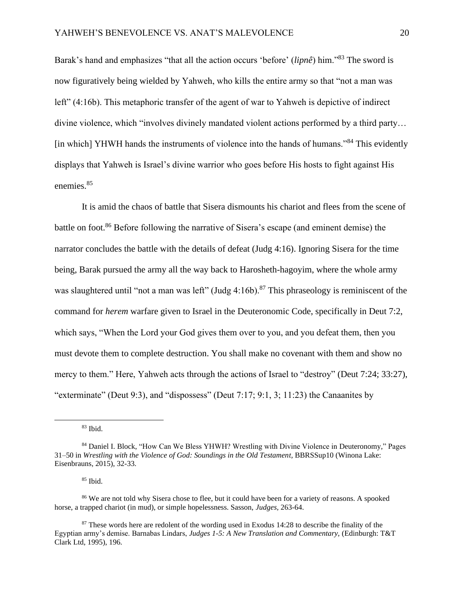Barak's hand and emphasizes "that all the action occurs 'before' (*lipnê*) him."<sup>83</sup> The sword is now figuratively being wielded by Yahweh, who kills the entire army so that "not a man was left" (4:16b). This metaphoric transfer of the agent of war to Yahweh is depictive of indirect divine violence, which "involves divinely mandated violent actions performed by a third party… [in which] YHWH hands the instruments of violence into the hands of humans."<sup>84</sup> This evidently displays that Yahweh is Israel's divine warrior who goes before His hosts to fight against His enemies.<sup>85</sup>

It is amid the chaos of battle that Sisera dismounts his chariot and flees from the scene of battle on foot.<sup>86</sup> Before following the narrative of Sisera's escape (and eminent demise) the narrator concludes the battle with the details of defeat (Judg 4:16). Ignoring Sisera for the time being, Barak pursued the army all the way back to Harosheth-hagoyim, where the whole army was slaughtered until "not a man was left" (Judg  $4:16b$ ).<sup>87</sup> This phraseology is reminiscent of the command for *herem* warfare given to Israel in the Deuteronomic Code, specifically in Deut 7:2, which says, "When the Lord your God gives them over to you, and you defeat them, then you must devote them to complete destruction. You shall make no covenant with them and show no mercy to them." Here, Yahweh acts through the actions of Israel to "destroy" (Deut 7:24; 33:27), "exterminate" (Deut 9:3), and "dispossess" (Deut 7:17; 9:1, 3; 11:23) the Canaanites by

<sup>85</sup> Ibid.

<sup>83</sup> Ibid.

<sup>84</sup> Daniel I. Block, "How Can We Bless YHWH? Wrestling with Divine Violence in Deuteronomy," Pages 31–50 in *Wrestling with the Violence of God: Soundings in the Old Testament,* BBRSSup10 (Winona Lake: Eisenbrauns, 2015), 32-33.

<sup>86</sup> We are not told why Sisera chose to flee, but it could have been for a variety of reasons. A spooked horse, a trapped chariot (in mud), or simple hopelessness. Sasson, *Judges,* 263-64.

<sup>&</sup>lt;sup>87</sup> These words here are redolent of the wording used in Exodus 14:28 to describe the finality of the Egyptian army's demise. Barnabas Lindars, *Judges 1-5: A New Translation and Commentary,* (Edinburgh: T&T Clark Ltd, 1995), 196.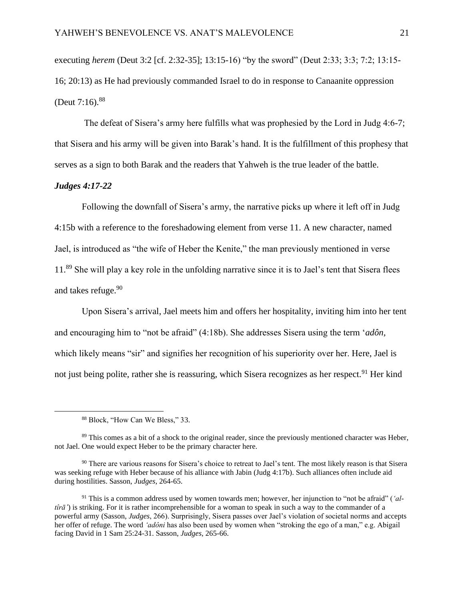executing *herem* (Deut 3:2 [cf. 2:32-35]; 13:15-16) "by the sword" (Deut 2:33; 3:3; 7:2; 13:15- 16; 20:13) as He had previously commanded Israel to do in response to Canaanite oppression (Deut  $7:16$ ).<sup>88</sup>

The defeat of Sisera's army here fulfills what was prophesied by the Lord in Judg 4:6-7; that Sisera and his army will be given into Barak's hand. It is the fulfillment of this prophesy that serves as a sign to both Barak and the readers that Yahweh is the true leader of the battle.

#### *Judges 4:17-22*

Following the downfall of Sisera's army, the narrative picks up where it left off in Judg 4:15b with a reference to the foreshadowing element from verse 11. A new character, named Jael, is introduced as "the wife of Heber the Kenite," the man previously mentioned in verse 11.<sup>89</sup> She will play a key role in the unfolding narrative since it is to Jael's tent that Sisera flees and takes refuge.<sup>90</sup>

Upon Sisera's arrival, Jael meets him and offers her hospitality, inviting him into her tent and encouraging him to "not be afraid" (4:18b). She addresses Sisera using the term '*adôn,*  which likely means "sir" and signifies her recognition of his superiority over her. Here, Jael is not just being polite, rather she is reassuring, which Sisera recognizes as her respect.<sup>91</sup> Her kind

<sup>88</sup> Block, "How Can We Bless," 33.

<sup>&</sup>lt;sup>89</sup> This comes as a bit of a shock to the original reader, since the previously mentioned character was Heber, not Jael. One would expect Heber to be the primary character here.

<sup>&</sup>lt;sup>90</sup> There are various reasons for Sisera's choice to retreat to Jael's tent. The most likely reason is that Sisera was seeking refuge with Heber because of his alliance with Jabin (Judg 4:17b). Such alliances often include aid during hostilities. Sasson, *Judges*, 264-65.

<sup>91</sup> This is a common address used by women towards men; however, her injunction to "not be afraid" (*'altîrā'*) is striking. For it is rather incomprehensible for a woman to speak in such a way to the commander of a powerful army (Sasson, *Judges*, 266). Surprisingly, Sisera passes over Jael's violation of societal norms and accepts her offer of refuge. The word *'adôni* has also been used by women when "stroking the ego of a man," e.g. Abigail facing David in 1 Sam 25:24-31. Sasson, *Judges*, 265-66.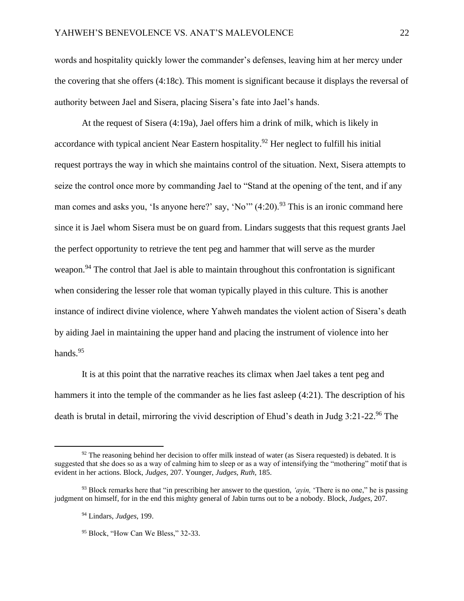words and hospitality quickly lower the commander's defenses, leaving him at her mercy under the covering that she offers (4:18c). This moment is significant because it displays the reversal of authority between Jael and Sisera, placing Sisera's fate into Jael's hands.

At the request of Sisera (4:19a), Jael offers him a drink of milk, which is likely in accordance with typical ancient Near Eastern hospitality.<sup>92</sup> Her neglect to fulfill his initial request portrays the way in which she maintains control of the situation. Next, Sisera attempts to seize the control once more by commanding Jael to "Stand at the opening of the tent, and if any man comes and asks you, 'Is anyone here?' say, 'No'"  $(4:20)$ <sup>93</sup>. This is an ironic command here since it is Jael whom Sisera must be on guard from. Lindars suggests that this request grants Jael the perfect opportunity to retrieve the tent peg and hammer that will serve as the murder weapon.<sup>94</sup> The control that Jael is able to maintain throughout this confrontation is significant when considering the lesser role that woman typically played in this culture. This is another instance of indirect divine violence, where Yahweh mandates the violent action of Sisera's death by aiding Jael in maintaining the upper hand and placing the instrument of violence into her hands.<sup>95</sup>

It is at this point that the narrative reaches its climax when Jael takes a tent peg and hammers it into the temple of the commander as he lies fast asleep (4:21). The description of his death is brutal in detail, mirroring the vivid description of Ehud's death in Judg 3:21-22.<sup>96</sup> The

 $92$  The reasoning behind her decision to offer milk instead of water (as Sisera requested) is debated. It is suggested that she does so as a way of calming him to sleep or as a way of intensifying the "mothering" motif that is evident in her actions. Block, *Judges,* 207. Younger, *Judges, Ruth*, 185.

<sup>93</sup> Block remarks here that "in prescribing her answer to the question, *'ayin,* 'There is no one," he is passing judgment on himself, for in the end this mighty general of Jabin turns out to be a nobody. Block, *Judges*, 207.

<sup>94</sup> Lindars, *Judges*, 199.

<sup>&</sup>lt;sup>95</sup> Block, "How Can We Bless," 32-33.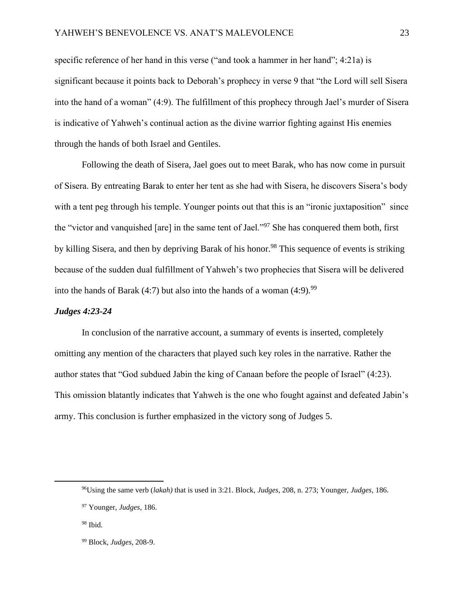specific reference of her hand in this verse ("and took a hammer in her hand"; 4:21a) is significant because it points back to Deborah's prophecy in verse 9 that "the Lord will sell Sisera into the hand of a woman" (4:9). The fulfillment of this prophecy through Jael's murder of Sisera is indicative of Yahweh's continual action as the divine warrior fighting against His enemies through the hands of both Israel and Gentiles.

Following the death of Sisera, Jael goes out to meet Barak, who has now come in pursuit of Sisera. By entreating Barak to enter her tent as she had with Sisera, he discovers Sisera's body with a tent peg through his temple. Younger points out that this is an "ironic juxtaposition" since the "victor and vanquished [are] in the same tent of Jael."<sup>97</sup> She has conquered them both, first by killing Sisera, and then by depriving Barak of his honor.<sup>98</sup> This sequence of events is striking because of the sudden dual fulfillment of Yahweh's two prophecies that Sisera will be delivered into the hands of Barak (4:7) but also into the hands of a woman  $(4:9)$ .<sup>99</sup>

#### *Judges 4:23-24*

In conclusion of the narrative account, a summary of events is inserted, completely omitting any mention of the characters that played such key roles in the narrative. Rather the author states that "God subdued Jabin the king of Canaan before the people of Israel" (4:23). This omission blatantly indicates that Yahweh is the one who fought against and defeated Jabin's army. This conclusion is further emphasized in the victory song of Judges 5.

<sup>96</sup>Using the same verb (*lakah)* that is used in 3:21. Block, *Judges*, 208, n. 273; Younger, *Judges*, 186.

<sup>97</sup> Younger, *Judges*, 186.

 $98$  Ibid.

<sup>99</sup> Block, *Judges*, 208-9.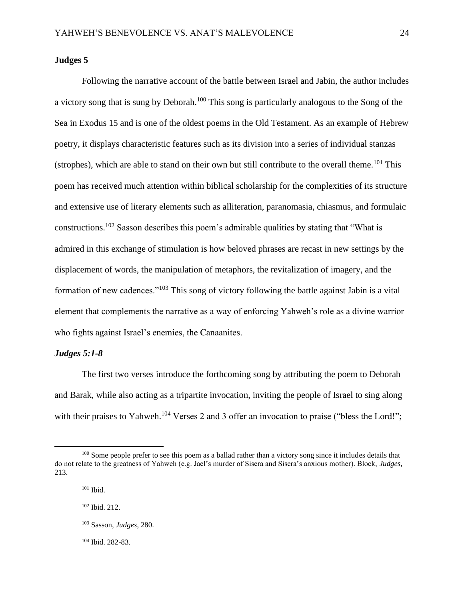## **Judges 5**

Following the narrative account of the battle between Israel and Jabin, the author includes a victory song that is sung by Deborah.<sup>100</sup> This song is particularly analogous to the Song of the Sea in Exodus 15 and is one of the oldest poems in the Old Testament. As an example of Hebrew poetry, it displays characteristic features such as its division into a series of individual stanzas (strophes), which are able to stand on their own but still contribute to the overall theme.<sup>101</sup> This poem has received much attention within biblical scholarship for the complexities of its structure and extensive use of literary elements such as alliteration, paranomasia, chiasmus, and formulaic constructions.<sup>102</sup> Sasson describes this poem's admirable qualities by stating that "What is admired in this exchange of stimulation is how beloved phrases are recast in new settings by the displacement of words, the manipulation of metaphors, the revitalization of imagery, and the formation of new cadences."<sup>103</sup> This song of victory following the battle against Jabin is a vital element that complements the narrative as a way of enforcing Yahweh's role as a divine warrior who fights against Israel's enemies, the Canaanites.

#### *Judges 5:1-8*

The first two verses introduce the forthcoming song by attributing the poem to Deborah and Barak, while also acting as a tripartite invocation, inviting the people of Israel to sing along with their praises to Yahweh.<sup>104</sup> Verses 2 and 3 offer an invocation to praise ("bless the Lord!";

<sup>&</sup>lt;sup>100</sup> Some people prefer to see this poem as a ballad rather than a victory song since it includes details that do not relate to the greatness of Yahweh (e.g. Jael's murder of Sisera and Sisera's anxious mother). Block, *Judges*, 213.

 $101$  Ibid.

<sup>102</sup> Ibid. 212.

<sup>103</sup> Sasson, *Judges*, 280.

<sup>104</sup> Ibid. 282-83.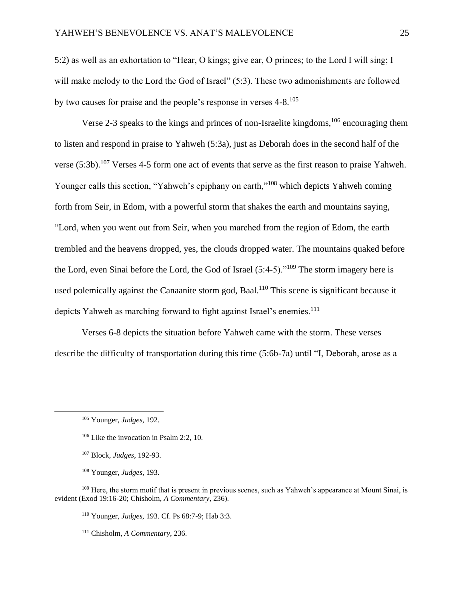5:2) as well as an exhortation to "Hear, O kings; give ear, O princes; to the Lord I will sing; I will make melody to the Lord the God of Israel" (5:3). These two admonishments are followed by two causes for praise and the people's response in verses 4-8.<sup>105</sup>

Verse 2-3 speaks to the kings and princes of non-Israelite kingdoms,  $106$  encouraging them to listen and respond in praise to Yahweh (5:3a), just as Deborah does in the second half of the verse (5:3b).<sup>107</sup> Verses 4-5 form one act of events that serve as the first reason to praise Yahweh. Younger calls this section, "Yahweh's epiphany on earth,"<sup>108</sup> which depicts Yahweh coming forth from Seir, in Edom, with a powerful storm that shakes the earth and mountains saying, "Lord, when you went out from Seir, when you marched from the region of Edom, the earth trembled and the heavens dropped, yes, the clouds dropped water. The mountains quaked before the Lord, even Sinai before the Lord, the God of Israel (5:4-5)."<sup>109</sup> The storm imagery here is used polemically against the Canaanite storm god, Baal.<sup>110</sup> This scene is significant because it depicts Yahweh as marching forward to fight against Israel's enemies.<sup>111</sup>

Verses 6-8 depicts the situation before Yahweh came with the storm. These verses describe the difficulty of transportation during this time (5:6b-7a) until "I, Deborah, arose as a

<sup>110</sup> Younger, *Judges*, 193. Cf. Ps 68:7-9; Hab 3:3.

<sup>111</sup> Chisholm, *A Commentary*, 236.

<sup>105</sup> Younger, *Judges*, 192.

<sup>106</sup> Like the invocation in Psalm 2:2, 10.

<sup>107</sup> Block, *Judges*, 192-93.

<sup>108</sup> Younger, *Judges*, 193.

<sup>&</sup>lt;sup>109</sup> Here, the storm motif that is present in previous scenes, such as Yahweh's appearance at Mount Sinai, is evident (Exod 19:16-20; Chisholm, *A Commentary,* 236).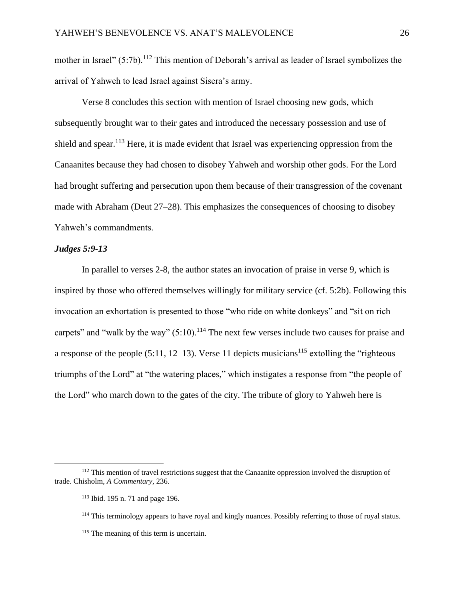mother in Israel" (5:7b).<sup>112</sup> This mention of Deborah's arrival as leader of Israel symbolizes the arrival of Yahweh to lead Israel against Sisera's army.

Verse 8 concludes this section with mention of Israel choosing new gods, which subsequently brought war to their gates and introduced the necessary possession and use of shield and spear.<sup>113</sup> Here, it is made evident that Israel was experiencing oppression from the Canaanites because they had chosen to disobey Yahweh and worship other gods. For the Lord had brought suffering and persecution upon them because of their transgression of the covenant made with Abraham (Deut 27–28). This emphasizes the consequences of choosing to disobey Yahweh's commandments.

# *Judges 5:9-13*

In parallel to verses 2-8, the author states an invocation of praise in verse 9, which is inspired by those who offered themselves willingly for military service (cf. 5:2b). Following this invocation an exhortation is presented to those "who ride on white donkeys" and "sit on rich carpets" and "walk by the way"  $(5:10)$ .<sup>114</sup> The next few verses include two causes for praise and a response of the people  $(5:11, 12-13)$ . Verse 11 depicts musicians<sup>115</sup> extolling the "righteous" triumphs of the Lord" at "the watering places," which instigates a response from "the people of the Lord" who march down to the gates of the city. The tribute of glory to Yahweh here is

<sup>&</sup>lt;sup>112</sup> This mention of travel restrictions suggest that the Canaanite oppression involved the disruption of trade. Chisholm, *A Commentary*, 236.

<sup>113</sup> Ibid. 195 n. 71 and page 196.

<sup>&</sup>lt;sup>114</sup> This terminology appears to have royal and kingly nuances. Possibly referring to those of royal status.

<sup>&</sup>lt;sup>115</sup> The meaning of this term is uncertain.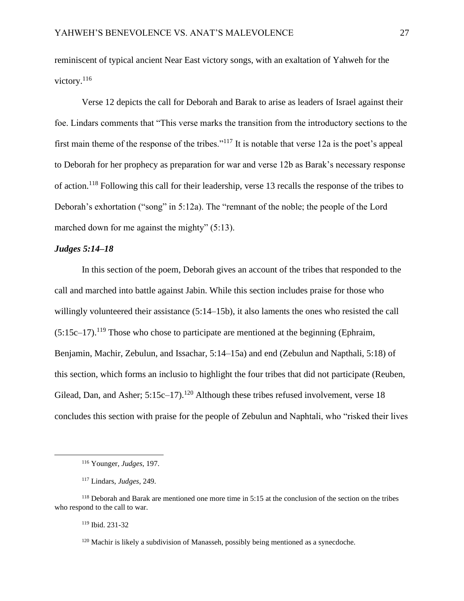reminiscent of typical ancient Near East victory songs, with an exaltation of Yahweh for the victory.<sup>116</sup>

Verse 12 depicts the call for Deborah and Barak to arise as leaders of Israel against their foe. Lindars comments that "This verse marks the transition from the introductory sections to the first main theme of the response of the tribes."<sup>117</sup> It is notable that verse 12a is the poet's appeal to Deborah for her prophecy as preparation for war and verse 12b as Barak's necessary response of action.<sup>118</sup> Following this call for their leadership, verse 13 recalls the response of the tribes to Deborah's exhortation ("song" in 5:12a). The "remnant of the noble; the people of the Lord marched down for me against the mighty" (5:13).

# *Judges 5:14–18*

In this section of the poem, Deborah gives an account of the tribes that responded to the call and marched into battle against Jabin. While this section includes praise for those who willingly volunteered their assistance (5:14–15b), it also laments the ones who resisted the call  $(5:15c-17)$ <sup>119</sup> Those who chose to participate are mentioned at the beginning (Ephraim, Benjamin, Machir, Zebulun, and Issachar, 5:14–15a) and end (Zebulun and Napthali, 5:18) of this section, which forms an inclusio to highlight the four tribes that did not participate (Reuben, Gilead, Dan, and Asher;  $5:15c-17$ .<sup>120</sup> Although these tribes refused involvement, verse 18 concludes this section with praise for the people of Zebulun and Naphtali, who "risked their lives

<sup>119</sup> Ibid. 231-32

<sup>116</sup> Younger, *Judges*, 197.

<sup>117</sup> Lindars, *Judges*, 249.

<sup>118</sup> Deborah and Barak are mentioned one more time in 5:15 at the conclusion of the section on the tribes who respond to the call to war.

 $120$  Machir is likely a subdivision of Manasseh, possibly being mentioned as a synecdoche.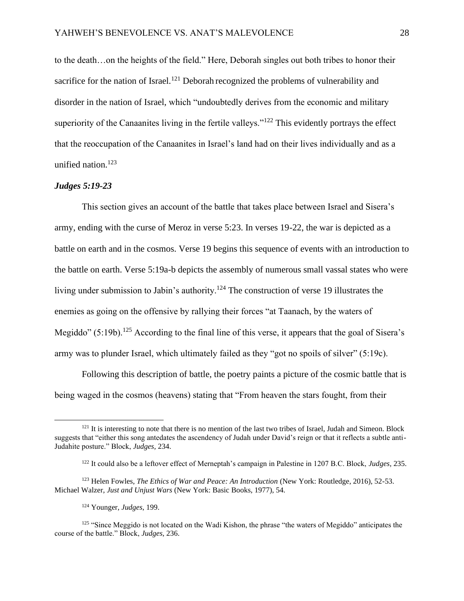to the death…on the heights of the field." Here, Deborah singles out both tribes to honor their sacrifice for the nation of Israel.<sup>121</sup> Deborah recognized the problems of vulnerability and disorder in the nation of Israel, which "undoubtedly derives from the economic and military superiority of the Canaanites living in the fertile valleys."<sup>122</sup> This evidently portrays the effect that the reoccupation of the Canaanites in Israel's land had on their lives individually and as a unified nation.<sup>123</sup>

# *Judges 5:19-23*

This section gives an account of the battle that takes place between Israel and Sisera's army, ending with the curse of Meroz in verse 5:23. In verses 19-22, the war is depicted as a battle on earth and in the cosmos. Verse 19 begins this sequence of events with an introduction to the battle on earth. Verse 5:19a-b depicts the assembly of numerous small vassal states who were living under submission to Jabin's authority.<sup>124</sup> The construction of verse 19 illustrates the enemies as going on the offensive by rallying their forces "at Taanach, by the waters of Megiddo" (5:19b).<sup>125</sup> According to the final line of this verse, it appears that the goal of Sisera's army was to plunder Israel, which ultimately failed as they "got no spoils of silver" (5:19c).

Following this description of battle, the poetry paints a picture of the cosmic battle that is being waged in the cosmos (heavens) stating that "From heaven the stars fought, from their

 $121$  It is interesting to note that there is no mention of the last two tribes of Israel, Judah and Simeon. Block suggests that "either this song antedates the ascendency of Judah under David's reign or that it reflects a subtle anti-Judahite posture." Block, *Judges,* 234.

<sup>122</sup> It could also be a leftover effect of Merneptah's campaign in Palestine in 1207 B.C. Block, *Judges,* 235.

<sup>123</sup> Helen Fowles, *The Ethics of War and Peace: An Introduction* (New York: Routledge, 2016), 52-53. Michael Walzer, *Just and Unjust Wars* (New York: Basic Books, 1977), 54.

<sup>124</sup> Younger, *Judges*, 199.

<sup>&</sup>lt;sup>125</sup> "Since Meggido is not located on the Wadi Kishon, the phrase "the waters of Megiddo" anticipates the course of the battle." Block, *Judges*, 236.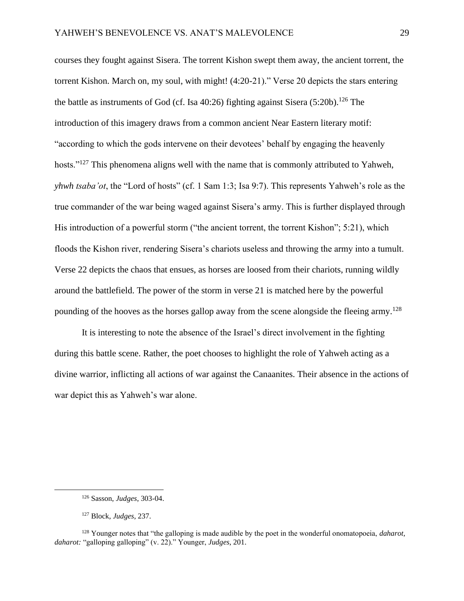courses they fought against Sisera. The torrent Kishon swept them away, the ancient torrent, the torrent Kishon. March on, my soul, with might! (4:20-21)." Verse 20 depicts the stars entering the battle as instruments of God (cf. Isa  $40:26$ ) fighting against Sisera (5:20b).<sup>126</sup> The introduction of this imagery draws from a common ancient Near Eastern literary motif: "according to which the gods intervene on their devotees' behalf by engaging the heavenly hosts."<sup>127</sup> This phenomena aligns well with the name that is commonly attributed to Yahweh, *yhwh tsaba'ot*, the "Lord of hosts" (cf. 1 Sam 1:3; Isa 9:7). This represents Yahweh's role as the true commander of the war being waged against Sisera's army. This is further displayed through His introduction of a powerful storm ("the ancient torrent, the torrent Kishon"; 5:21), which floods the Kishon river, rendering Sisera's chariots useless and throwing the army into a tumult. Verse 22 depicts the chaos that ensues, as horses are loosed from their chariots, running wildly around the battlefield. The power of the storm in verse 21 is matched here by the powerful pounding of the hooves as the horses gallop away from the scene alongside the fleeing army.<sup>128</sup>

It is interesting to note the absence of the Israel's direct involvement in the fighting during this battle scene. Rather, the poet chooses to highlight the role of Yahweh acting as a divine warrior, inflicting all actions of war against the Canaanites. Their absence in the actions of war depict this as Yahweh's war alone.

<sup>126</sup> Sasson, *Judges*, 303-04.

<sup>127</sup> Block, *Judges*, 237.

<sup>128</sup> Younger notes that "the galloping is made audible by the poet in the wonderful onomatopoeia, *daharot, daharot:* "galloping galloping" (v. 22)." Younger, *Judges*, 201.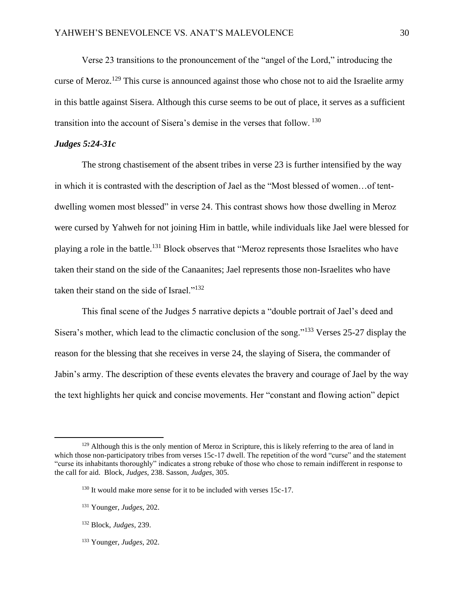Verse 23 transitions to the pronouncement of the "angel of the Lord," introducing the curse of Meroz.<sup>129</sup> This curse is announced against those who chose not to aid the Israelite army in this battle against Sisera. Although this curse seems to be out of place, it serves as a sufficient transition into the account of Sisera's demise in the verses that follow. <sup>130</sup>

# *Judges 5:24-31c*

The strong chastisement of the absent tribes in verse 23 is further intensified by the way in which it is contrasted with the description of Jael as the "Most blessed of women…of tentdwelling women most blessed" in verse 24. This contrast shows how those dwelling in Meroz were cursed by Yahweh for not joining Him in battle, while individuals like Jael were blessed for playing a role in the battle.<sup>131</sup> Block observes that "Meroz represents those Israelites who have taken their stand on the side of the Canaanites; Jael represents those non-Israelites who have taken their stand on the side of Israel."<sup>132</sup>

This final scene of the Judges 5 narrative depicts a "double portrait of Jael's deed and Sisera's mother, which lead to the climactic conclusion of the song."<sup>133</sup> Verses 25-27 display the reason for the blessing that she receives in verse 24, the slaying of Sisera, the commander of Jabin's army. The description of these events elevates the bravery and courage of Jael by the way the text highlights her quick and concise movements. Her "constant and flowing action" depict

<sup>133</sup> Younger, *Judges*, 202.

<sup>&</sup>lt;sup>129</sup> Although this is the only mention of Meroz in Scripture, this is likely referring to the area of land in which those non-participatory tribes from verses 15c-17 dwell. The repetition of the word "curse" and the statement "curse its inhabitants thoroughly" indicates a strong rebuke of those who chose to remain indifferent in response to the call for aid. Block, *Judges*, 238. Sasson, *Judges*, 305.

<sup>&</sup>lt;sup>130</sup> It would make more sense for it to be included with verses 15c-17.

<sup>131</sup> Younger, *Judges*, 202.

<sup>132</sup> Block, *Judges*, 239.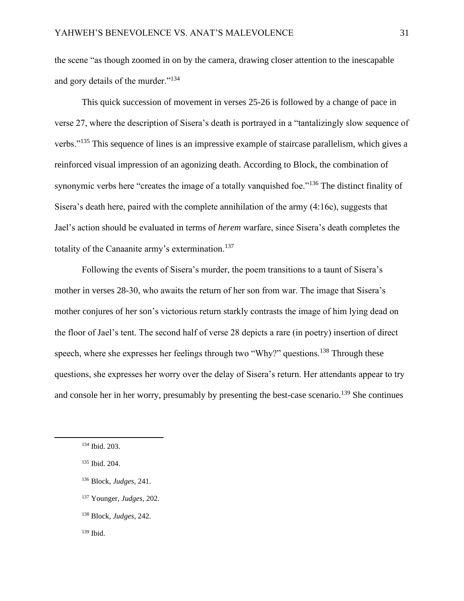the scene "as though zoomed in on by the camera, drawing closer attention to the inescapable and gory details of the murder."<sup>134</sup>

This quick succession of movement in verses 25-26 is followed by a change of pace in verse 27, where the description of Sisera's death is portrayed in a "tantalizingly slow sequence of verbs."<sup>135</sup> This sequence of lines is an impressive example of staircase parallelism, which gives a reinforced visual impression of an agonizing death. According to Block, the combination of synonymic verbs here "creates the image of a totally vanquished foe."<sup>136</sup> The distinct finality of Sisera's death here, paired with the complete annihilation of the army (4:16c), suggests that Jael's action should be evaluated in terms of *herem* warfare, since Sisera's death completes the totality of the Canaanite army's extermination.<sup>137</sup>

Following the events of Sisera's murder, the poem transitions to a taunt of Sisera's mother in verses 28-30, who awaits the return of her son from war. The image that Sisera's mother conjures of her son's victorious return starkly contrasts the image of him lying dead on the floor of Jael's tent. The second half of verse 28 depicts a rare (in poetry) insertion of direct speech, where she expresses her feelings through two "Why?" questions.<sup>138</sup> Through these questions, she expresses her worry over the delay of Sisera's return. Her attendants appear to try and console her in her worry, presumably by presenting the best-case scenario.<sup>139</sup> She continues

<sup>134</sup> Ibid. 203.

<sup>135</sup> Ibid. 204.

<sup>136</sup> Block, *Judges*, 241.

<sup>137</sup> Younger, *Judges*, 202.

<sup>138</sup> Block, *Judges*, 242.

 $139$  Ibid.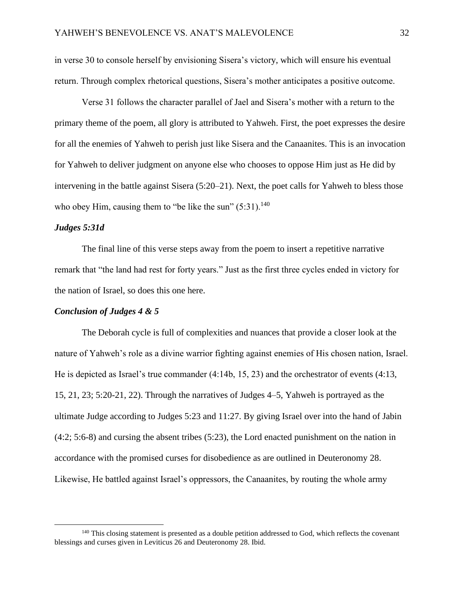in verse 30 to console herself by envisioning Sisera's victory, which will ensure his eventual return. Through complex rhetorical questions, Sisera's mother anticipates a positive outcome.

Verse 31 follows the character parallel of Jael and Sisera's mother with a return to the primary theme of the poem, all glory is attributed to Yahweh. First, the poet expresses the desire for all the enemies of Yahweh to perish just like Sisera and the Canaanites. This is an invocation for Yahweh to deliver judgment on anyone else who chooses to oppose Him just as He did by intervening in the battle against Sisera (5:20–21). Next, the poet calls for Yahweh to bless those who obey Him, causing them to "be like the sun"  $(5:31)$ .<sup>140</sup>

## *Judges 5:31d*

The final line of this verse steps away from the poem to insert a repetitive narrative remark that "the land had rest for forty years." Just as the first three cycles ended in victory for the nation of Israel, so does this one here.

#### *Conclusion of Judges 4 & 5*

The Deborah cycle is full of complexities and nuances that provide a closer look at the nature of Yahweh's role as a divine warrior fighting against enemies of His chosen nation, Israel. He is depicted as Israel's true commander (4:14b, 15, 23) and the orchestrator of events (4:13, 15, 21, 23; 5:20-21, 22). Through the narratives of Judges 4–5, Yahweh is portrayed as the ultimate Judge according to Judges 5:23 and 11:27. By giving Israel over into the hand of Jabin (4:2; 5:6-8) and cursing the absent tribes (5:23), the Lord enacted punishment on the nation in accordance with the promised curses for disobedience as are outlined in Deuteronomy 28. Likewise, He battled against Israel's oppressors, the Canaanites, by routing the whole army

<sup>&</sup>lt;sup>140</sup> This closing statement is presented as a double petition addressed to God, which reflects the covenant blessings and curses given in Leviticus 26 and Deuteronomy 28. Ibid.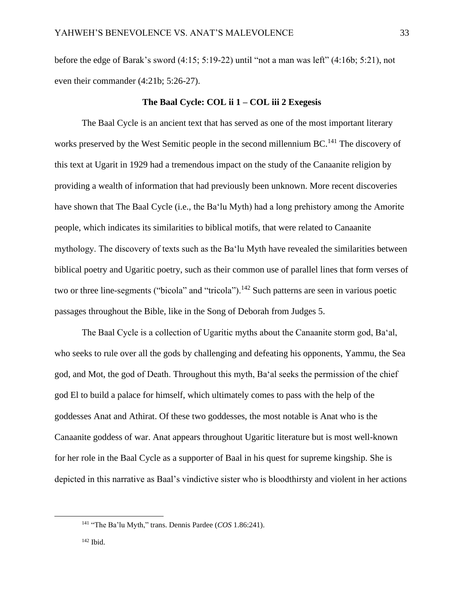before the edge of Barak's sword (4:15; 5:19-22) until "not a man was left" (4:16b; 5:21), not even their commander (4:21b; 5:26-27).

#### **The Baal Cycle: COL ii 1 – COL iii 2 Exegesis**

The Baal Cycle is an ancient text that has served as one of the most important literary works preserved by the West Semitic people in the second millennium BC.<sup>141</sup> The discovery of this text at Ugarit in 1929 had a tremendous impact on the study of the Canaanite religion by providing a wealth of information that had previously been unknown. More recent discoveries have shown that The Baal Cycle (i.e., the Ba'lu Myth) had a long prehistory among the Amorite people, which indicates its similarities to biblical motifs, that were related to Canaanite mythology. The discovery of texts such as the Ba'lu Myth have revealed the similarities between biblical poetry and Ugaritic poetry, such as their common use of parallel lines that form verses of two or three line-segments ("bicola" and "tricola").<sup>142</sup> Such patterns are seen in various poetic passages throughout the Bible, like in the Song of Deborah from Judges 5.

The Baal Cycle is a collection of Ugaritic myths about the Canaanite storm god, Ba'al, who seeks to rule over all the gods by challenging and defeating his opponents, Yammu, the Sea god, and Mot, the god of Death. Throughout this myth, Ba'al seeks the permission of the chief god El to build a palace for himself, which ultimately comes to pass with the help of the goddesses Anat and Athirat. Of these two goddesses, the most notable is Anat who is the Canaanite goddess of war. Anat appears throughout Ugaritic literature but is most well-known for her role in the Baal Cycle as a supporter of Baal in his quest for supreme kingship. She is depicted in this narrative as Baal's vindictive sister who is bloodthirsty and violent in her actions

<sup>141</sup> "The Ba'lu Myth," trans. Dennis Pardee (*COS* 1.86:241).

<sup>142</sup> Ibid.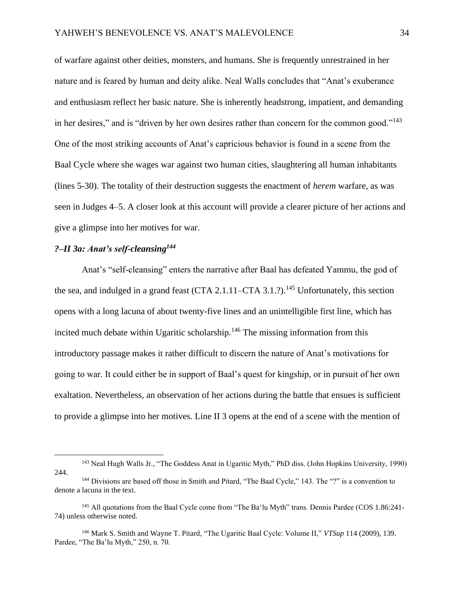of warfare against other deities, monsters, and humans. She is frequently unrestrained in her nature and is feared by human and deity alike. Neal Walls concludes that "Anat's exuberance and enthusiasm reflect her basic nature. She is inherently headstrong, impatient, and demanding in her desires," and is "driven by her own desires rather than concern for the common good."<sup>143</sup> One of the most striking accounts of Anat's capricious behavior is found in a scene from the Baal Cycle where she wages war against two human cities, slaughtering all human inhabitants (lines 5-30). The totality of their destruction suggests the enactment of *herem* warfare, as was seen in Judges 4–5. A closer look at this account will provide a clearer picture of her actions and give a glimpse into her motives for war.

# *?–II 3a: Anat's self-cleansing<sup>144</sup>*

Anat's "self-cleansing" enters the narrative after Baal has defeated Yammu, the god of the sea, and indulged in a grand feast (CTA 2.1.11–CTA 3.1.?).<sup>145</sup> Unfortunately, this section opens with a long lacuna of about twenty-five lines and an unintelligible first line, which has incited much debate within Ugaritic scholarship.<sup>146</sup> The missing information from this introductory passage makes it rather difficult to discern the nature of Anat's motivations for going to war. It could either be in support of Baal's quest for kingship, or in pursuit of her own exaltation. Nevertheless, an observation of her actions during the battle that ensues is sufficient to provide a glimpse into her motives. Line II 3 opens at the end of a scene with the mention of

<sup>143</sup> Neal Hugh Walls Jr., "The Goddess Anat in Ugaritic Myth," PhD diss. (John Hopkins University, 1990) 244.

<sup>&</sup>lt;sup>144</sup> Divisions are based off those in Smith and Pitard, "The Baal Cycle," 143. The "?" is a convention to denote a lacuna in the text.

<sup>&</sup>lt;sup>145</sup> All quotations from the Baal Cycle come from "The Ba'lu Myth" trans. Dennis Pardee (COS 1.86:241-74) unless otherwise noted.

<sup>146</sup> Mark S. Smith and Wayne T. Pitard, "The Ugaritic Baal Cycle: Volume II," *VTSup* 114 (2009), 139. Pardee, "The Ba'lu Myth," 250, n. 70.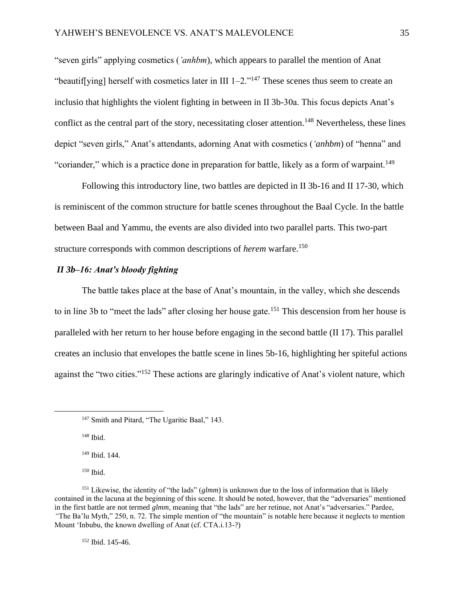"seven girls" applying cosmetics (*'anhbm*), which appears to parallel the mention of Anat "beautif[ying] herself with cosmetics later in III  $1-2$ ."<sup>147</sup> These scenes thus seem to create an inclusio that highlights the violent fighting in between in II 3b-30a. This focus depicts Anat's conflict as the central part of the story, necessitating closer attention.<sup>148</sup> Nevertheless, these lines depict "seven girls," Anat's attendants, adorning Anat with cosmetics (*'anhbm*) of "henna" and "coriander," which is a practice done in preparation for battle, likely as a form of warpaint.<sup>149</sup>

Following this introductory line, two battles are depicted in II 3b-16 and II 17-30, which is reminiscent of the common structure for battle scenes throughout the Baal Cycle. In the battle between Baal and Yammu, the events are also divided into two parallel parts. This two-part structure corresponds with common descriptions of *herem* warfare.<sup>150</sup>

# *II 3b–16: Anat's bloody fighting*

The battle takes place at the base of Anat's mountain, in the valley, which she descends to in line 3b to "meet the lads" after closing her house gate.<sup>151</sup> This descension from her house is paralleled with her return to her house before engaging in the second battle (II 17). This parallel creates an inclusio that envelopes the battle scene in lines 5b-16, highlighting her spiteful actions against the "two cities."<sup>152</sup> These actions are glaringly indicative of Anat's violent nature, which

<sup>148</sup> Ibid.

<sup>149</sup> Ibid. 144.

<sup>150</sup> Ibid.

<sup>152</sup> Ibid. 145-46.

<sup>&</sup>lt;sup>147</sup> Smith and Pitard, "The Ugaritic Baal," 143.

<sup>&</sup>lt;sup>151</sup> Likewise, the identity of "the lads" (*glmm*) is unknown due to the loss of information that is likely contained in the lacuna at the beginning of this scene. It should be noted, however, that the "adversaries" mentioned in the first battle are not termed *glmm*, meaning that "the lads" are her retinue, not Anat's "adversaries." Pardee, *"*The Ba'lu Myth," 250, n. 72. The simple mention of "the mountain" is notable here because it neglects to mention Mount 'Inbubu, the known dwelling of Anat (cf. CTA.i.13-?)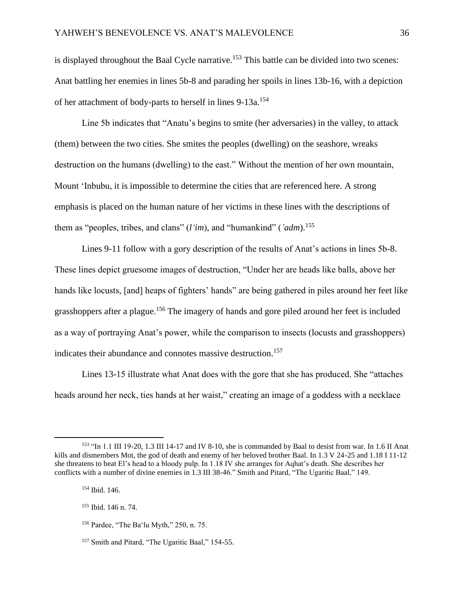is displayed throughout the Baal Cycle narrative.<sup>153</sup> This battle can be divided into two scenes: Anat battling her enemies in lines 5b-8 and parading her spoils in lines 13b-16, with a depiction of her attachment of body-parts to herself in lines 9-13a.<sup>154</sup>

Line 5b indicates that "Anatu's begins to smite (her adversaries) in the valley, to attack (them) between the two cities. She smites the peoples (dwelling) on the seashore, wreaks destruction on the humans (dwelling) to the east." Without the mention of her own mountain, Mount 'Inbubu, it is impossible to determine the cities that are referenced here. A strong emphasis is placed on the human nature of her victims in these lines with the descriptions of them as "peoples, tribes, and clans" (*l'im*), and "humankind" (*'adm*).<sup>155</sup>

Lines 9-11 follow with a gory description of the results of Anat's actions in lines 5b-8. These lines depict gruesome images of destruction, "Under her are heads like balls, above her hands like locusts, [and] heaps of fighters' hands" are being gathered in piles around her feet like grasshoppers after a plague.<sup>156</sup> The imagery of hands and gore piled around her feet is included as a way of portraying Anat's power, while the comparison to insects (locusts and grasshoppers) indicates their abundance and connotes massive destruction.<sup>157</sup>

Lines 13-15 illustrate what Anat does with the gore that she has produced. She "attaches heads around her neck, ties hands at her waist," creating an image of a goddess with a necklace

<sup>153</sup> "In 1.1 III 19-20, 1.3 III 14-17 and IV 8-10, she is commanded by Baal to desist from war. In 1.6 II Anat kills and dismembers Mot, the god of death and enemy of her beloved brother Baal. In 1.3 V 24-25 and 1.18 I 11-12 she threatens to beat El's head to a bloody pulp. In 1.18 IV she arranges for Aqhat's death. She describes her conflicts with a number of divine enemies in 1.3 III 38-46." Smith and Pitard, "The Ugaritic Baal," 149.

<sup>154</sup> Ibid. 146.

<sup>155</sup> Ibid. 146 n. 74.

<sup>156</sup> Pardee, "The Ba'lu Myth," 250, n. 75.

<sup>&</sup>lt;sup>157</sup> Smith and Pitard, "The Ugaritic Baal," 154-55.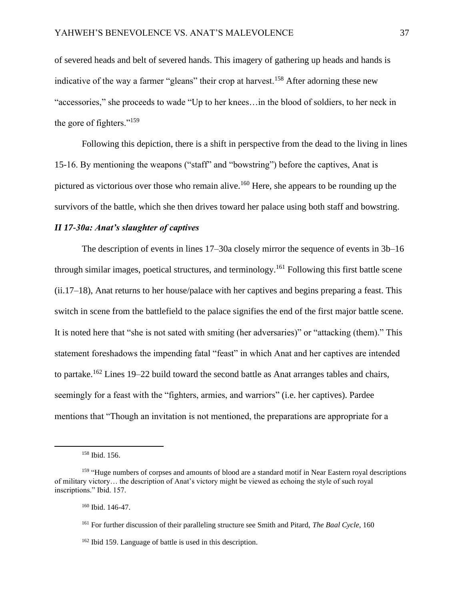of severed heads and belt of severed hands. This imagery of gathering up heads and hands is indicative of the way a farmer "gleans" their crop at harvest.<sup>158</sup> After adorning these new "accessories," she proceeds to wade "Up to her knees…in the blood of soldiers, to her neck in the gore of fighters." $159$ 

Following this depiction, there is a shift in perspective from the dead to the living in lines 15-16. By mentioning the weapons ("staff" and "bowstring") before the captives, Anat is pictured as victorious over those who remain alive.<sup>160</sup> Here, she appears to be rounding up the survivors of the battle, which she then drives toward her palace using both staff and bowstring.

# *II 17-30a: Anat's slaughter of captives*

The description of events in lines 17–30a closely mirror the sequence of events in 3b–16 through similar images, poetical structures, and terminology.<sup>161</sup> Following this first battle scene (ii.17–18), Anat returns to her house/palace with her captives and begins preparing a feast. This switch in scene from the battlefield to the palace signifies the end of the first major battle scene. It is noted here that "she is not sated with smiting (her adversaries)" or "attacking (them)." This statement foreshadows the impending fatal "feast" in which Anat and her captives are intended to partake.<sup>162</sup> Lines 19–22 build toward the second battle as Anat arranges tables and chairs, seemingly for a feast with the "fighters, armies, and warriors" (i.e. her captives). Pardee mentions that "Though an invitation is not mentioned, the preparations are appropriate for a

<sup>158</sup> Ibid. 156.

<sup>&</sup>lt;sup>159</sup> "Huge numbers of corpses and amounts of blood are a standard motif in Near Eastern royal descriptions of military victory… the description of Anat's victory might be viewed as echoing the style of such royal inscriptions." Ibid. 157.

<sup>160</sup> Ibid. 146-47.

<sup>161</sup> For further discussion of their paralleling structure see Smith and Pitard, *The Baal Cycle*, 160

<sup>162</sup> Ibid 159. Language of battle is used in this description.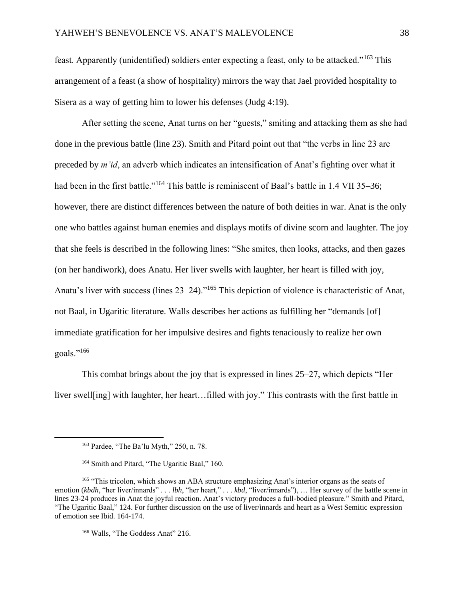feast. Apparently (unidentified) soldiers enter expecting a feast, only to be attacked."<sup>163</sup> This arrangement of a feast (a show of hospitality) mirrors the way that Jael provided hospitality to Sisera as a way of getting him to lower his defenses (Judg 4:19).

After setting the scene, Anat turns on her "guests," smiting and attacking them as she had done in the previous battle (line 23). Smith and Pitard point out that "the verbs in line 23 are preceded by *m'id*, an adverb which indicates an intensification of Anat's fighting over what it had been in the first battle."<sup>164</sup> This battle is reminiscent of Baal's battle in 1.4 VII 35–36; however, there are distinct differences between the nature of both deities in war. Anat is the only one who battles against human enemies and displays motifs of divine scorn and laughter. The joy that she feels is described in the following lines: "She smites, then looks, attacks, and then gazes (on her handiwork), does Anatu. Her liver swells with laughter, her heart is filled with joy, Anatu's liver with success (lines 23–24)."<sup>165</sup> This depiction of violence is characteristic of Anat, not Baal, in Ugaritic literature. Walls describes her actions as fulfilling her "demands [of] immediate gratification for her impulsive desires and fights tenaciously to realize her own goals."<sup>166</sup>

This combat brings about the joy that is expressed in lines 25–27, which depicts "Her liver swell[ing] with laughter, her heart…filled with joy." This contrasts with the first battle in

<sup>163</sup> Pardee, "The Ba'lu Myth," 250, n. 78.

<sup>&</sup>lt;sup>164</sup> Smith and Pitard, "The Ugaritic Baal," 160.

<sup>&</sup>lt;sup>165</sup> "This tricolon, which shows an ABA structure emphasizing Anat's interior organs as the seats of emotion (*kbdh*, "her liver/innards" . . . *lbh*, "her heart," . . . *kbd*, "liver/innards"), … Her survey of the battle scene in lines 23-24 produces in Anat the joyful reaction. Anat's victory produces a full-bodied pleasure." Smith and Pitard, "The Ugaritic Baal," 124. For further discussion on the use of liver/innards and heart as a West Semitic expression of emotion see Ibid. 164-174.

<sup>&</sup>lt;sup>166</sup> Walls, "The Goddess Anat" 216.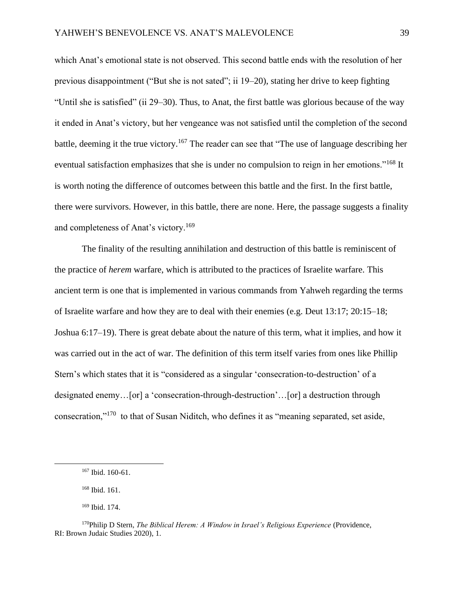which Anat's emotional state is not observed. This second battle ends with the resolution of her previous disappointment ("But she is not sated"; ii 19–20), stating her drive to keep fighting "Until she is satisfied" (ii 29–30). Thus, to Anat, the first battle was glorious because of the way it ended in Anat's victory, but her vengeance was not satisfied until the completion of the second battle, deeming it the true victory.<sup>167</sup> The reader can see that "The use of language describing her eventual satisfaction emphasizes that she is under no compulsion to reign in her emotions."<sup>168</sup> It is worth noting the difference of outcomes between this battle and the first. In the first battle, there were survivors. However, in this battle, there are none. Here, the passage suggests a finality and completeness of Anat's victory.<sup>169</sup>

The finality of the resulting annihilation and destruction of this battle is reminiscent of the practice of *herem* warfare, which is attributed to the practices of Israelite warfare. This ancient term is one that is implemented in various commands from Yahweh regarding the terms of Israelite warfare and how they are to deal with their enemies (e.g. Deut 13:17; 20:15–18; Joshua 6:17–19). There is great debate about the nature of this term, what it implies, and how it was carried out in the act of war. The definition of this term itself varies from ones like Phillip Stern's which states that it is "considered as a singular 'consecration-to-destruction' of a designated enemy…[or] a 'consecration-through-destruction'…[or] a destruction through consecration,"<sup>170</sup> to that of Susan Niditch, who defines it as "meaning separated, set aside,

<sup>167</sup> Ibid. 160-61.

<sup>168</sup> Ibid. 161.

<sup>169</sup> Ibid. 174.

<sup>170</sup>Philip D Stern, *The Biblical Herem: A Window in Israel's Religious Experience* (Providence, RI: Brown Judaic Studies 2020), 1.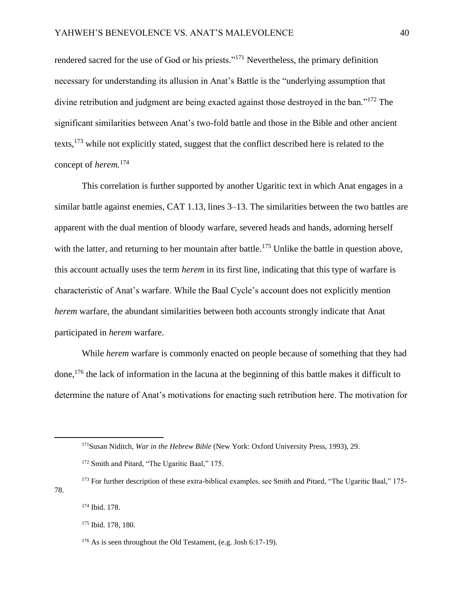rendered sacred for the use of God or his priests."<sup>171</sup> Nevertheless, the primary definition necessary for understanding its allusion in Anat's Battle is the "underlying assumption that divine retribution and judgment are being exacted against those destroyed in the ban."<sup>172</sup> The significant similarities between Anat's two-fold battle and those in the Bible and other ancient texts,<sup>173</sup> while not explicitly stated, suggest that the conflict described here is related to the concept of *herem.*<sup>174</sup>

This correlation is further supported by another Ugaritic text in which Anat engages in a similar battle against enemies, CAT 1.13, lines 3–13. The similarities between the two battles are apparent with the dual mention of bloody warfare, severed heads and hands, adorning herself with the latter, and returning to her mountain after battle.<sup>175</sup> Unlike the battle in question above, this account actually uses the term *herem* in its first line, indicating that this type of warfare is characteristic of Anat's warfare. While the Baal Cycle's account does not explicitly mention *herem* warfare, the abundant similarities between both accounts strongly indicate that Anat participated in *herem* warfare.

While *herem* warfare is commonly enacted on people because of something that they had done,<sup>176</sup> the lack of information in the lacuna at the beginning of this battle makes it difficult to determine the nature of Anat's motivations for enacting such retribution here. The motivation for

<sup>171</sup>Susan Niditch, *War in the Hebrew Bible* (New York: Oxford University Press, 1993), 29.

<sup>&</sup>lt;sup>172</sup> Smith and Pitard, "The Ugaritic Baal," 175.

<sup>&</sup>lt;sup>173</sup> For further description of these extra-biblical examples, see Smith and Pitard, "The Ugaritic Baal," 175-78.

<sup>174</sup> Ibid. 178.

<sup>175</sup> Ibid. 178, 180.

<sup>176</sup> As is seen throughout the Old Testament, (e.g. Josh 6:17-19).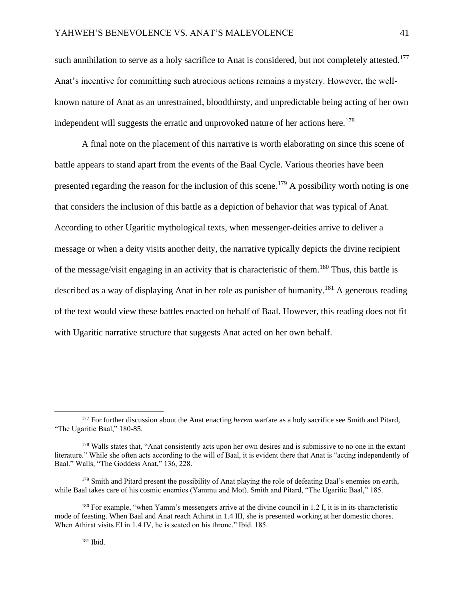such annihilation to serve as a holy sacrifice to Anat is considered, but not completely attested.<sup>177</sup> Anat's incentive for committing such atrocious actions remains a mystery. However, the wellknown nature of Anat as an unrestrained, bloodthirsty, and unpredictable being acting of her own independent will suggests the erratic and unprovoked nature of her actions here.<sup>178</sup>

A final note on the placement of this narrative is worth elaborating on since this scene of battle appears to stand apart from the events of the Baal Cycle. Various theories have been presented regarding the reason for the inclusion of this scene.<sup>179</sup> A possibility worth noting is one that considers the inclusion of this battle as a depiction of behavior that was typical of Anat. According to other Ugaritic mythological texts, when messenger-deities arrive to deliver a message or when a deity visits another deity, the narrative typically depicts the divine recipient of the message/visit engaging in an activity that is characteristic of them.<sup>180</sup> Thus, this battle is described as a way of displaying Anat in her role as punisher of humanity.<sup>181</sup> A generous reading of the text would view these battles enacted on behalf of Baal. However, this reading does not fit with Ugaritic narrative structure that suggests Anat acted on her own behalf.

<sup>177</sup> For further discussion about the Anat enacting *herem* warfare as a holy sacrifice see Smith and Pitard, "The Ugaritic Baal," 180-85.

<sup>&</sup>lt;sup>178</sup> Walls states that, "Anat consistently acts upon her own desires and is submissive to no one in the extant literature." While she often acts according to the will of Baal, it is evident there that Anat is "acting independently of Baal." Walls, "The Goddess Anat," 136, 228.

<sup>&</sup>lt;sup>179</sup> Smith and Pitard present the possibility of Anat playing the role of defeating Baal's enemies on earth, while Baal takes care of his cosmic enemies (Yammu and Mot). Smith and Pitard, "The Ugaritic Baal," 185.

<sup>&</sup>lt;sup>180</sup> For example, "when Yamm's messengers arrive at the divine council in 1.2 I, it is in its characteristic mode of feasting. When Baal and Anat reach Athirat in 1.4 III, she is presented working at her domestic chores. When Athirat visits El in 1.4 IV, he is seated on his throne." Ibid. 185.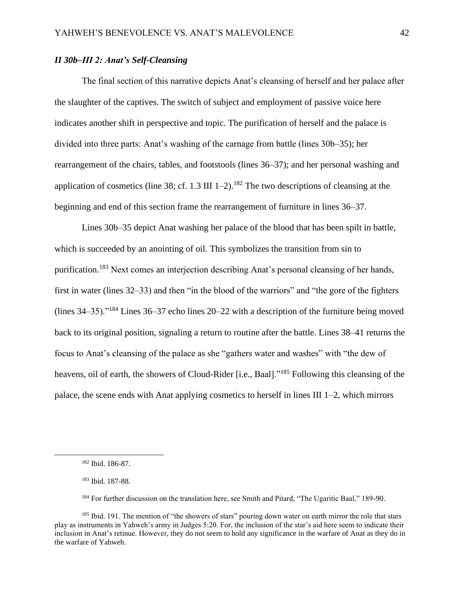# *II 30b–III 2: Anat's Self-Cleansing*

The final section of this narrative depicts Anat's cleansing of herself and her palace after the slaughter of the captives. The switch of subject and employment of passive voice here indicates another shift in perspective and topic. The purification of herself and the palace is divided into three parts: Anat's washing of the carnage from battle (lines 30b–35); her rearrangement of the chairs, tables, and footstools (lines 36–37); and her personal washing and application of cosmetics (line 38; cf. 1.3 III  $1-2$ ).<sup>182</sup> The two descriptions of cleansing at the beginning and end of this section frame the rearrangement of furniture in lines 36–37.

Lines 30b–35 depict Anat washing her palace of the blood that has been spilt in battle, which is succeeded by an anointing of oil. This symbolizes the transition from sin to purification.<sup>183</sup> Next comes an interjection describing Anat's personal cleansing of her hands, first in water (lines 32–33) and then "in the blood of the warriors" and "the gore of the fighters (lines 34–35)."<sup>184</sup> Lines 36–37 echo lines 20–22 with a description of the furniture being moved back to its original position, signaling a return to routine after the battle. Lines 38–41 returns the focus to Anat's cleansing of the palace as she "gathers water and washes" with "the dew of heavens, oil of earth, the showers of Cloud-Rider [i.e., Baal]."<sup>185</sup> Following this cleansing of the palace, the scene ends with Anat applying cosmetics to herself in lines III 1–2, which mirrors

<sup>182</sup> Ibid. 186-87.

<sup>183</sup> Ibid. 187-88.

<sup>184</sup> For further discussion on the translation here, see Smith and Pitard, "The Ugaritic Baal," 189-90.

<sup>&</sup>lt;sup>185</sup> Ibid. 191. The mention of "the showers of stars" pouring down water on earth mirror the role that stars play as instruments in Yahweh's army in Judges 5:20. For, the inclusion of the star's aid here seem to indicate their inclusion in Anat's retinue. However, they do not seem to hold any significance in the warfare of Anat as they do in the warfare of Yahweh.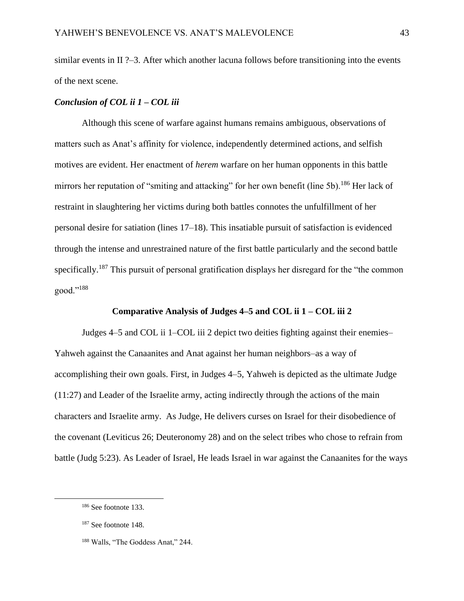similar events in II ?–3. After which another lacuna follows before transitioning into the events of the next scene.

## *Conclusion of COL ii 1 – COL iii*

Although this scene of warfare against humans remains ambiguous, observations of matters such as Anat's affinity for violence, independently determined actions, and selfish motives are evident. Her enactment of *herem* warfare on her human opponents in this battle mirrors her reputation of "smiting and attacking" for her own benefit (line 5b).<sup>186</sup> Her lack of restraint in slaughtering her victims during both battles connotes the unfulfillment of her personal desire for satiation (lines 17–18). This insatiable pursuit of satisfaction is evidenced through the intense and unrestrained nature of the first battle particularly and the second battle specifically.<sup>187</sup> This pursuit of personal gratification displays her disregard for the "the common" good."<sup>188</sup>

# **Comparative Analysis of Judges 4–5 and COL ii 1 – COL iii 2**

Judges 4–5 and COL ii 1–COL iii 2 depict two deities fighting against their enemies– Yahweh against the Canaanites and Anat against her human neighbors–as a way of accomplishing their own goals. First, in Judges 4–5, Yahweh is depicted as the ultimate Judge (11:27) and Leader of the Israelite army, acting indirectly through the actions of the main characters and Israelite army. As Judge, He delivers curses on Israel for their disobedience of the covenant (Leviticus 26; Deuteronomy 28) and on the select tribes who chose to refrain from battle (Judg 5:23). As Leader of Israel, He leads Israel in war against the Canaanites for the ways

<sup>186</sup> See footnote 133.

<sup>187</sup> See footnote 148.

<sup>188</sup> Walls, "The Goddess Anat," 244.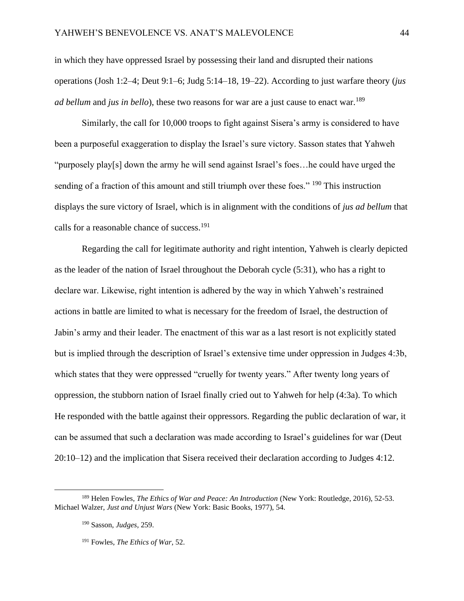in which they have oppressed Israel by possessing their land and disrupted their nations operations (Josh 1:2–4; Deut 9:1–6; Judg 5:14–18, 19–22). According to just warfare theory (*jus ad bellum* and *jus in bello*), these two reasons for war are a just cause to enact war.<sup>189</sup>

Similarly, the call for 10,000 troops to fight against Sisera's army is considered to have been a purposeful exaggeration to display the Israel's sure victory. Sasson states that Yahweh "purposely play[s] down the army he will send against Israel's foes…he could have urged the sending of a fraction of this amount and still triumph over these foes." <sup>190</sup> This instruction displays the sure victory of Israel, which is in alignment with the conditions of *jus ad bellum* that calls for a reasonable chance of success.<sup>191</sup>

Regarding the call for legitimate authority and right intention, Yahweh is clearly depicted as the leader of the nation of Israel throughout the Deborah cycle (5:31), who has a right to declare war. Likewise, right intention is adhered by the way in which Yahweh's restrained actions in battle are limited to what is necessary for the freedom of Israel, the destruction of Jabin's army and their leader. The enactment of this war as a last resort is not explicitly stated but is implied through the description of Israel's extensive time under oppression in Judges 4:3b, which states that they were oppressed "cruelly for twenty years." After twenty long years of oppression, the stubborn nation of Israel finally cried out to Yahweh for help (4:3a). To which He responded with the battle against their oppressors. Regarding the public declaration of war, it can be assumed that such a declaration was made according to Israel's guidelines for war (Deut 20:10–12) and the implication that Sisera received their declaration according to Judges 4:12.

<sup>189</sup> Helen Fowles, *The Ethics of War and Peace: An Introduction* (New York: Routledge, 2016), 52-53. Michael Walzer, *Just and Unjust Wars* (New York: Basic Books, 1977), 54.

<sup>190</sup> Sasson, *Judges,* 259.

<sup>191</sup> Fowles, *The Ethics of War*, 52.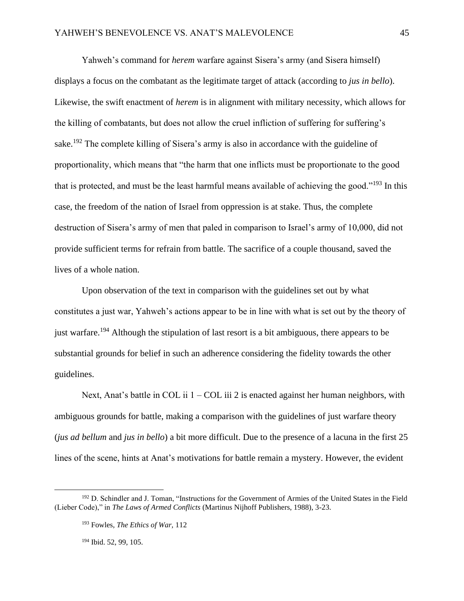Yahweh's command for *herem* warfare against Sisera's army (and Sisera himself) displays a focus on the combatant as the legitimate target of attack (according to *jus in bello*). Likewise, the swift enactment of *herem* is in alignment with military necessity, which allows for the killing of combatants, but does not allow the cruel infliction of suffering for suffering's sake.<sup>192</sup> The complete killing of Sisera's army is also in accordance with the guideline of proportionality, which means that "the harm that one inflicts must be proportionate to the good that is protected, and must be the least harmful means available of achieving the good."<sup>193</sup> In this case, the freedom of the nation of Israel from oppression is at stake. Thus, the complete destruction of Sisera's army of men that paled in comparison to Israel's army of 10,000, did not provide sufficient terms for refrain from battle. The sacrifice of a couple thousand, saved the lives of a whole nation.

Upon observation of the text in comparison with the guidelines set out by what constitutes a just war, Yahweh's actions appear to be in line with what is set out by the theory of just warfare.<sup>194</sup> Although the stipulation of last resort is a bit ambiguous, there appears to be substantial grounds for belief in such an adherence considering the fidelity towards the other guidelines.

Next, Anat's battle in COL ii 1 – COL iii 2 is enacted against her human neighbors, with ambiguous grounds for battle, making a comparison with the guidelines of just warfare theory (*jus ad bellum* and *jus in bello*) a bit more difficult. Due to the presence of a lacuna in the first 25 lines of the scene, hints at Anat's motivations for battle remain a mystery. However, the evident

<sup>&</sup>lt;sup>192</sup> D. Schindler and J. Toman, "Instructions for the Government of Armies of the United States in the Field (Lieber Code)," in *The Laws of Armed Conflicts* (Martinus Nijhoff Publishers, 1988), 3-23.

<sup>193</sup> Fowles, *The Ethics of War,* 112

<sup>194</sup> Ibid. 52, 99, 105.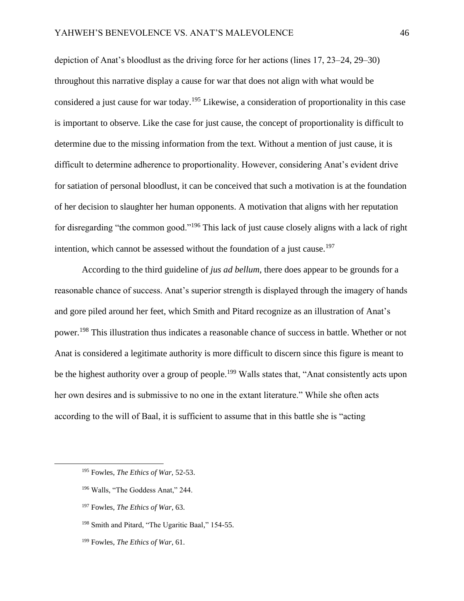depiction of Anat's bloodlust as the driving force for her actions (lines 17, 23–24, 29–30) throughout this narrative display a cause for war that does not align with what would be considered a just cause for war today.<sup>195</sup> Likewise, a consideration of proportionality in this case is important to observe. Like the case for just cause, the concept of proportionality is difficult to determine due to the missing information from the text. Without a mention of just cause, it is difficult to determine adherence to proportionality. However, considering Anat's evident drive for satiation of personal bloodlust, it can be conceived that such a motivation is at the foundation of her decision to slaughter her human opponents. A motivation that aligns with her reputation for disregarding "the common good."<sup>196</sup> This lack of just cause closely aligns with a lack of right intention, which cannot be assessed without the foundation of a just cause.<sup>197</sup>

According to the third guideline of *jus ad bellum*, there does appear to be grounds for a reasonable chance of success. Anat's superior strength is displayed through the imagery of hands and gore piled around her feet, which Smith and Pitard recognize as an illustration of Anat's power.<sup>198</sup> This illustration thus indicates a reasonable chance of success in battle. Whether or not Anat is considered a legitimate authority is more difficult to discern since this figure is meant to be the highest authority over a group of people.<sup>199</sup> Walls states that, "Anat consistently acts upon her own desires and is submissive to no one in the extant literature." While she often acts according to the will of Baal, it is sufficient to assume that in this battle she is "acting

- <sup>196</sup> Walls, "The Goddess Anat," 244.
- <sup>197</sup> Fowles, *The Ethics of War*, 63.
- <sup>198</sup> Smith and Pitard, "The Ugaritic Baal*,*" 154-55.
- <sup>199</sup> Fowles, *The Ethics of War*, 61.

<sup>195</sup> Fowles, *The Ethics of War,* 52-53.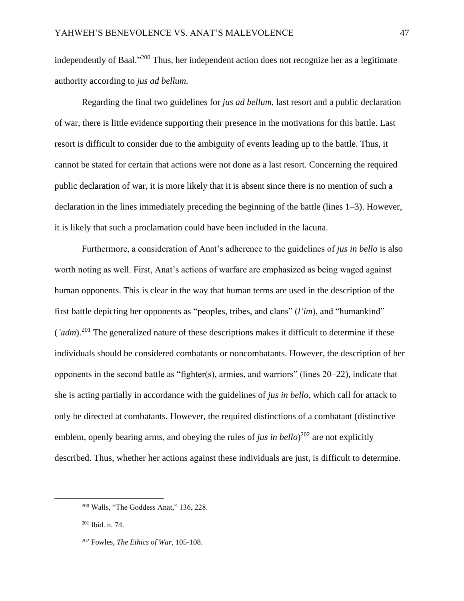independently of Baal."<sup>200</sup> Thus, her independent action does not recognize her as a legitimate authority according to *jus ad bellum.* 

Regarding the final two guidelines for *jus ad bellum*, last resort and a public declaration of war, there is little evidence supporting their presence in the motivations for this battle. Last resort is difficult to consider due to the ambiguity of events leading up to the battle. Thus, it cannot be stated for certain that actions were not done as a last resort. Concerning the required public declaration of war, it is more likely that it is absent since there is no mention of such a declaration in the lines immediately preceding the beginning of the battle (lines 1–3). However, it is likely that such a proclamation could have been included in the lacuna.

Furthermore, a consideration of Anat's adherence to the guidelines of *jus in bello* is also worth noting as well. First, Anat's actions of warfare are emphasized as being waged against human opponents. This is clear in the way that human terms are used in the description of the first battle depicting her opponents as "peoples, tribes, and clans" (*l'im*), and "humankind"  $\left( \right.$ *'adm*).<sup>201</sup> The generalized nature of these descriptions makes it difficult to determine if these individuals should be considered combatants or noncombatants. However, the description of her opponents in the second battle as "fighter(s), armies, and warriors" (lines 20–22), indicate that she is acting partially in accordance with the guidelines of *jus in bello*, which call for attack to only be directed at combatants. However, the required distinctions of a combatant (distinctive emblem, openly bearing arms, and obeying the rules of *jus in bello*)<sup>202</sup> are not explicitly described. Thus, whether her actions against these individuals are just, is difficult to determine.

<sup>201</sup> Ibid. n. 74.

<sup>200</sup> Walls, "The Goddess Anat," 136, 228.

<sup>202</sup> Fowles, *The Ethics of War*, 105-108.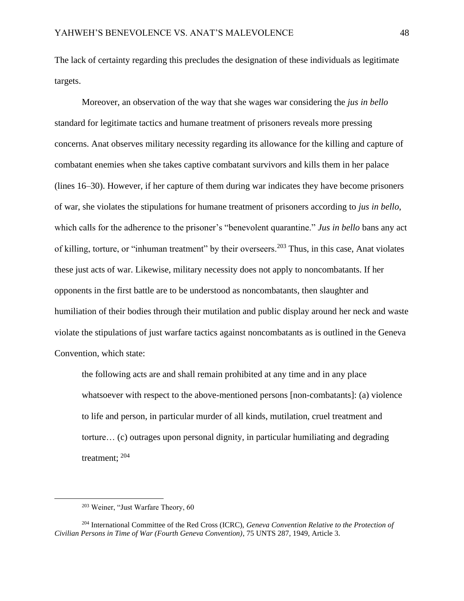The lack of certainty regarding this precludes the designation of these individuals as legitimate targets.

Moreover, an observation of the way that she wages war considering the *jus in bello* standard for legitimate tactics and humane treatment of prisoners reveals more pressing concerns. Anat observes military necessity regarding its allowance for the killing and capture of combatant enemies when she takes captive combatant survivors and kills them in her palace (lines 16–30). However, if her capture of them during war indicates they have become prisoners of war, she violates the stipulations for humane treatment of prisoners according to *jus in bello*, which calls for the adherence to the prisoner's "benevolent quarantine." *Jus in bello* bans any act of killing, torture, or "inhuman treatment" by their overseers.<sup>203</sup> Thus, in this case, Anat violates these just acts of war. Likewise, military necessity does not apply to noncombatants. If her opponents in the first battle are to be understood as noncombatants, then slaughter and humiliation of their bodies through their mutilation and public display around her neck and waste violate the stipulations of just warfare tactics against noncombatants as is outlined in the Geneva Convention, which state:

the following acts are and shall remain prohibited at any time and in any place whatsoever with respect to the above-mentioned persons [non-combatants]: (a) violence to life and person, in particular murder of all kinds, mutilation, cruel treatment and torture… (c) outrages upon personal dignity, in particular humiliating and degrading treatment;  $^{204}$ 

<sup>203</sup> Weiner, "Just Warfare Theory, 60

<sup>204</sup> International Committee of the Red Cross (ICRC), *Geneva Convention Relative to the Protection of Civilian Persons in Time of War (Fourth Geneva Convention)*, 75 UNTS 287, 1949, Article 3.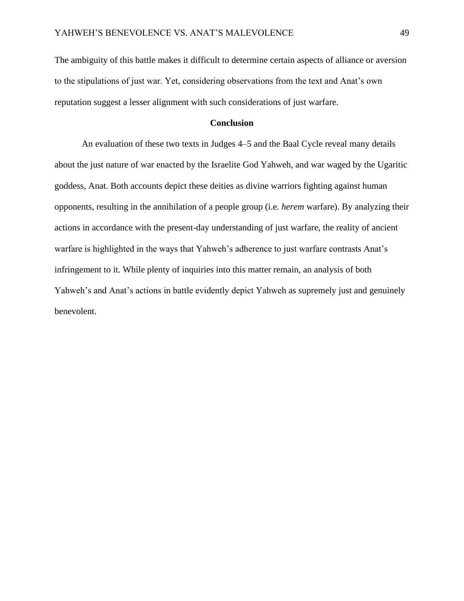The ambiguity of this battle makes it difficult to determine certain aspects of alliance or aversion to the stipulations of just war. Yet, considering observations from the text and Anat's own reputation suggest a lesser alignment with such considerations of just warfare.

#### **Conclusion**

An evaluation of these two texts in Judges 4–5 and the Baal Cycle reveal many details about the just nature of war enacted by the Israelite God Yahweh, and war waged by the Ugaritic goddess, Anat. Both accounts depict these deities as divine warriors fighting against human opponents, resulting in the annihilation of a people group (i.e. *herem* warfare). By analyzing their actions in accordance with the present-day understanding of just warfare, the reality of ancient warfare is highlighted in the ways that Yahweh's adherence to just warfare contrasts Anat's infringement to it. While plenty of inquiries into this matter remain, an analysis of both Yahweh's and Anat's actions in battle evidently depict Yahweh as supremely just and genuinely benevolent.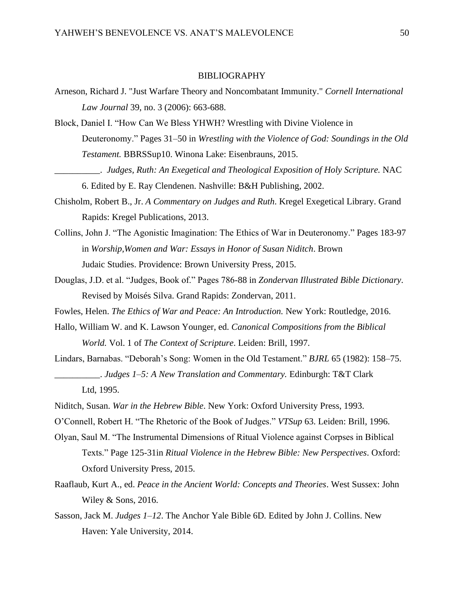#### **BIBLIOGRAPHY**

- Arneson, Richard J. "Just Warfare Theory and Noncombatant Immunity." *Cornell International Law Journal* 39, no. 3 (2006): 663-688.
- Block, Daniel I. "How Can We Bless YHWH? Wrestling with Divine Violence in Deuteronomy." Pages 31–50 in *Wrestling with the Violence of God: Soundings in the Old Testament.* BBRSSup10. Winona Lake: Eisenbrauns, 2015.
	- \_\_\_\_\_\_\_\_\_\_. *Judges, Ruth: An Exegetical and Theological Exposition of Holy Scripture.* NAC 6. Edited by E. Ray Clendenen. Nashville: B&H Publishing, 2002.
- Chisholm, Robert B., Jr. *A Commentary on Judges and Ruth*. Kregel Exegetical Library. Grand Rapids: Kregel Publications, 2013.
- Collins, John J. "The Agonistic Imagination: The Ethics of War in Deuteronomy." Pages 183-97 in *Worship,Women and War: Essays in Honor of Susan Niditch*. Brown Judaic Studies. Providence: Brown University Press, 2015.
- Douglas, J.D. et al. "Judges, Book of." Pages 786-88 in *Zondervan Illustrated Bible Dictionary*. Revised by Moisés Silva. Grand Rapids: Zondervan, 2011.
- Fowles, Helen. *The Ethics of War and Peace: An Introduction.* New York: Routledge, 2016.
- Hallo, William W. and K. Lawson Younger, ed. *Canonical Compositions from the Biblical World.* Vol. 1 of *The Context of Scripture*. Leiden: Brill, 1997.
- Lindars, Barnabas. "Deborah's Song: Women in the Old Testament." *BJRL* 65 (1982): 158–75. \_\_\_\_\_\_\_\_\_\_. *Judges 1–5: A New Translation and Commentary.* Edinburgh: T&T Clark Ltd, 1995.
- Niditch, Susan. *War in the Hebrew Bible*. New York: Oxford University Press, 1993.
- O'Connell, Robert H. "The Rhetoric of the Book of Judges." *VTSup* 63. Leiden: Brill, 1996.
- Olyan, Saul M. "The Instrumental Dimensions of Ritual Violence against Corpses in Biblical Texts." Page 125-31in *Ritual Violence in the Hebrew Bible: New Perspectives*. Oxford: Oxford University Press, 2015.
- Raaflaub, Kurt A., ed. *Peace in the Ancient World: Concepts and Theories*. West Sussex: John Wiley & Sons, 2016.
- Sasson, Jack M. *Judges 1–12*. The Anchor Yale Bible 6D*.* Edited by John J. Collins. New Haven: Yale University, 2014.